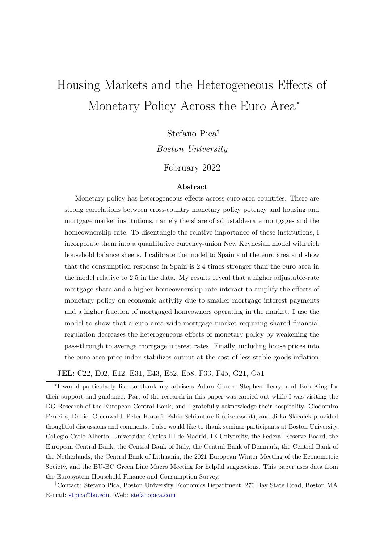# <span id="page-0-0"></span>Housing Markets and the Heterogeneous Effects of Monetary Policy Across the Euro Area<sup>∗</sup>

Stefano Pica†

*Boston University*

February 2022

#### **Abstract**

Monetary policy has heterogeneous effects across euro area countries. There are strong correlations between cross-country monetary policy potency and housing and mortgage market institutions, namely the share of adjustable-rate mortgages and the homeownership rate. To disentangle the relative importance of these institutions, I incorporate them into a quantitative currency-union New Keynesian model with rich household balance sheets. I calibrate the model to Spain and the euro area and show that the consumption response in Spain is 2.4 times stronger than the euro area in the model relative to 2.5 in the data. My results reveal that a higher adjustable-rate mortgage share and a higher homeownership rate interact to amplify the effects of monetary policy on economic activity due to smaller mortgage interest payments and a higher fraction of mortgaged homeowners operating in the market. I use the model to show that a euro-area-wide mortgage market requiring shared financial regulation decreases the heterogeneous effects of monetary policy by weakening the pass-through to average mortgage interest rates. Finally, including house prices into the euro area price index stabilizes output at the cost of less stable goods inflation.

**JEL:** C22, E02, E12, E31, E43, E52, E58, F33, F45, G21, G51

∗ I would particularly like to thank my advisers Adam Guren, Stephen Terry, and Bob King for their support and guidance. Part of the research in this paper was carried out while I was visiting the DG-Research of the European Central Bank, and I gratefully acknowledge their hospitality. Clodomiro Ferreira, Daniel Greenwald, Peter Karadi, Fabio Schiantarelli (discussant), and Jirka Slacalek provided thoughtful discussions and comments. I also would like to thank seminar participants at Boston University, Collegio Carlo Alberto, Universidad Carlos III de Madrid, IE University, the Federal Reserve Board, the European Central Bank, the Central Bank of Italy, the Central Bank of Denmark, the Central Bank of the Netherlands, the Central Bank of Lithuania, the 2021 European Winter Meeting of the Econometric Society, and the BU-BC Green Line Macro Meeting for helpful suggestions. This paper uses data from the Eurosystem Household Finance and Consumption Survey.

†Contact: Stefano Pica, Boston University Economics Department, 270 Bay State Road, Boston MA. E-mail: stpica@bu.edu. Web: [stefanopica.com](https://www.stefanopica.com)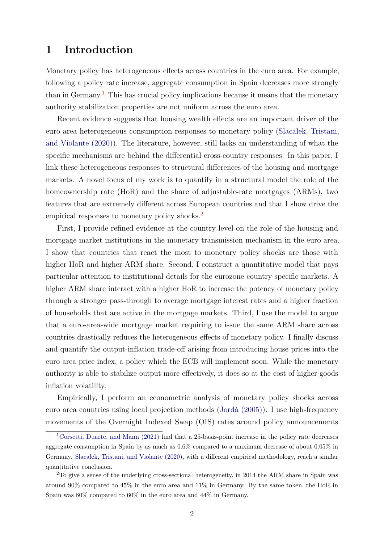## <span id="page-1-0"></span>**1 Introduction**

Monetary policy has heterogeneous effects across countries in the euro area. For example, following a policy rate increase, aggregate consumption in Spain decreases more strongly than in Germany.<sup>[1](#page-0-0)</sup> This has crucial policy implications because it means that the monetary authority stabilization properties are not uniform across the euro area.

Recent evidence suggests that housing wealth effects are an important driver of the euro area heterogeneous consumption responses to monetary policy [\(Slacalek, Tristani,](#page-44-0) [and Violante \(2020\)\)](#page-44-0). The literature, however, still lacks an understanding of what the specific mechanisms are behind the differential cross-country responses. In this paper, I link these heterogeneous responses to structural differences of the housing and mortgage markets. A novel focus of my work is to quantify in a structural model the role of the homeownership rate (HoR) and the share of adjustable-rate mortgages (ARMs), two features that are extremely different across European countries and that I show drive the empirical responses to monetary policy shocks.<sup>[2](#page-0-0)</sup>

First, I provide refined evidence at the country level on the role of the housing and mortgage market institutions in the monetary transmission mechanism in the euro area. I show that countries that react the most to monetary policy shocks are those with higher HoR and higher ARM share. Second, I construct a quantitative model that pays particular attention to institutional details for the eurozone country-specific markets. A higher ARM share interact with a higher HoR to increase the potency of monetary policy through a stronger pass-through to average mortgage interest rates and a higher fraction of households that are active in the mortgage markets. Third, I use the model to argue that a euro-area-wide mortgage market requiring to issue the same ARM share across countries drastically reduces the heterogeneous effects of monetary policy. I finally discuss and quantify the output-inflation trade-off arising from introducing house prices into the euro area price index, a policy which the ECB will implement soon. While the monetary authority is able to stabilize output more effectively, it does so at the cost of higher goods inflation volatility.

Empirically, I perform an econometric analysis of monetary policy shocks across euro area countries using local projection methods [\(Jordà \(2005\)\)](#page-43-0). I use high-frequency movements of the Overnight Indexed Swap (OIS) rates around policy announcements

<sup>&</sup>lt;sup>1</sup>[Corsetti, Duarte, and Mann \(2021\)](#page-42-0) find that a 25-basis-point increase in the policy rate decreases aggregate consumption in Spain by as much as 0*.*6% compared to a maximum decrease of about 0*.*05% in Germany. [Slacalek, Tristani, and Violante \(2020\),](#page-44-0) with a different empirical methodology, reach a similar quantitative conclusion.

<sup>&</sup>lt;sup>2</sup>To give a sense of the underlying cross-sectional heterogeneity, in 2014 the ARM share in Spain was around 90% compared to 45% in the euro area and 11% in Germany. By the same token, the HoR in Spain was 80% compared to 60% in the euro area and 44% in Germany.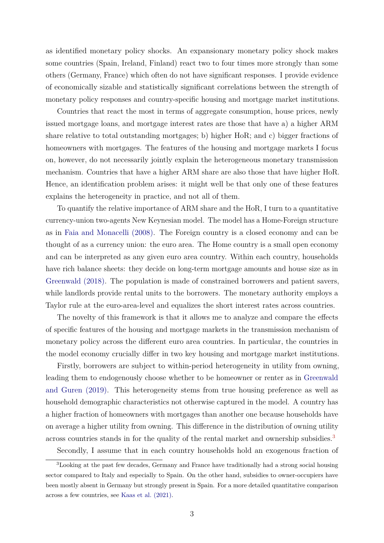<span id="page-2-0"></span>as identified monetary policy shocks. An expansionary monetary policy shock makes some countries (Spain, Ireland, Finland) react two to four times more strongly than some others (Germany, France) which often do not have significant responses. I provide evidence of economically sizable and statistically significant correlations between the strength of monetary policy responses and country-specific housing and mortgage market institutions.

Countries that react the most in terms of aggregate consumption, house prices, newly issued mortgage loans, and mortgage interest rates are those that have a) a higher ARM share relative to total outstanding mortgages; b) higher HoR; and c) bigger fractions of homeowners with mortgages. The features of the housing and mortgage markets I focus on, however, do not necessarily jointly explain the heterogeneous monetary transmission mechanism. Countries that have a higher ARM share are also those that have higher HoR. Hence, an identification problem arises: it might well be that only one of these features explains the heterogeneity in practice, and not all of them.

To quantify the relative importance of ARM share and the HoR, I turn to a quantitative currency-union two-agents New Keynesian model. The model has a Home-Foreign structure as in [Faia and Monacelli \(2008\).](#page-42-1) The Foreign country is a closed economy and can be thought of as a currency union: the euro area. The Home country is a small open economy and can be interpreted as any given euro area country. Within each country, households have rich balance sheets: they decide on long-term mortgage amounts and house size as in [Greenwald \(2018\).](#page-43-1) The population is made of constrained borrowers and patient savers, while landlords provide rental units to the borrowers. The monetary authority employs a Taylor rule at the euro-area-level and equalizes the short interest rates across countries.

The novelty of this framework is that it allows me to analyze and compare the effects of specific features of the housing and mortgage markets in the transmission mechanism of monetary policy across the different euro area countries. In particular, the countries in the model economy crucially differ in two key housing and mortgage market institutions.

Firstly, borrowers are subject to within-period heterogeneity in utility from owning, leading them to endogenously choose whether to be homeowner or renter as in [Greenwald](#page-43-2) [and Guren \(2019\).](#page-43-2) This heterogeneity stems from true housing preference as well as household demographic characteristics not otherwise captured in the model. A country has a higher fraction of homeowners with mortgages than another one because households have on average a higher utility from owning. This difference in the distribution of owning utility across countries stands in for the quality of the rental market and ownership subsidies.[3](#page-0-0)

Secondly, I assume that in each country households hold an exogenous fraction of

<sup>3</sup>Looking at the past few decades, Germany and France have traditionally had a strong social housing sector compared to Italy and especially to Spain. On the other hand, subsidies to owner-occupiers have been mostly absent in Germany but strongly present in Spain. For a more detailed quantitative comparison across a few countries, see [Kaas et al. \(2021\).](#page-43-3)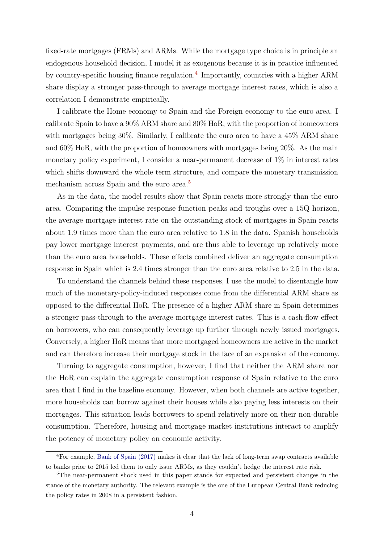<span id="page-3-0"></span>fixed-rate mortgages (FRMs) and ARMs. While the mortgage type choice is in principle an endogenous household decision, I model it as exogenous because it is in practice influenced by country-specific housing finance regulation.<sup>[4](#page-0-0)</sup> Importantly, countries with a higher ARM share display a stronger pass-through to average mortgage interest rates, which is also a correlation I demonstrate empirically.

I calibrate the Home economy to Spain and the Foreign economy to the euro area. I calibrate Spain to have a 90% ARM share and 80% HoR, with the proportion of homeowners with mortgages being 30%. Similarly, I calibrate the euro area to have a 45% ARM share and 60% HoR, with the proportion of homeowners with mortgages being 20%. As the main monetary policy experiment, I consider a near-permanent decrease of 1% in interest rates which shifts downward the whole term structure, and compare the monetary transmission mechanism across Spain and the euro area.<sup>[5](#page-0-0)</sup>

As in the data, the model results show that Spain reacts more strongly than the euro area. Comparing the impulse response function peaks and troughs over a 15Q horizon, the average mortgage interest rate on the outstanding stock of mortgages in Spain reacts about 1.9 times more than the euro area relative to 1.8 in the data. Spanish households pay lower mortgage interest payments, and are thus able to leverage up relatively more than the euro area households. These effects combined deliver an aggregate consumption response in Spain which is 2.4 times stronger than the euro area relative to 2.5 in the data.

To understand the channels behind these responses, I use the model to disentangle how much of the monetary-policy-induced responses come from the differential ARM share as opposed to the differential HoR. The presence of a higher ARM share in Spain determines a stronger pass-through to the average mortgage interest rates. This is a cash-flow effect on borrowers, who can consequently leverage up further through newly issued mortgages. Conversely, a higher HoR means that more mortgaged homeowners are active in the market and can therefore increase their mortgage stock in the face of an expansion of the economy.

Turning to aggregate consumption, however, I find that neither the ARM share nor the HoR can explain the aggregate consumption response of Spain relative to the euro area that I find in the baseline economy. However, when both channels are active together, more households can borrow against their houses while also paying less interests on their mortgages. This situation leads borrowers to spend relatively more on their non-durable consumption. Therefore, housing and mortgage market institutions interact to amplify the potency of monetary policy on economic activity.

<sup>4</sup>For example, [Bank of Spain \(2017\)](#page-41-0) makes it clear that the lack of long-term swap contracts available to banks prior to 2015 led them to only issue ARMs, as they couldn't hedge the interest rate risk.

<sup>&</sup>lt;sup>5</sup>The near-permanent shock used in this paper stands for expected and persistent changes in the stance of the monetary authority. The relevant example is the one of the European Central Bank reducing the policy rates in 2008 in a persistent fashion.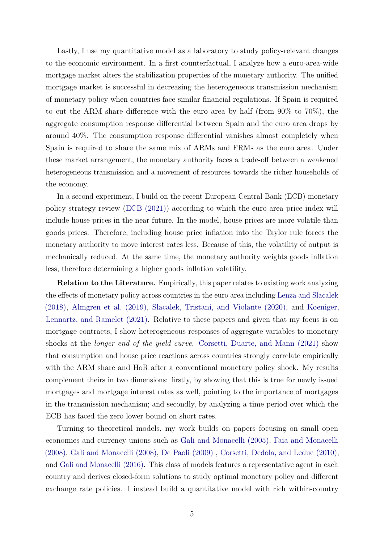<span id="page-4-0"></span>Lastly, I use my quantitative model as a laboratory to study policy-relevant changes to the economic environment. In a first counterfactual, I analyze how a euro-area-wide mortgage market alters the stabilization properties of the monetary authority. The unified mortgage market is successful in decreasing the heterogeneous transmission mechanism of monetary policy when countries face similar financial regulations. If Spain is required to cut the ARM share difference with the euro area by half (from 90% to 70%), the aggregate consumption response differential between Spain and the euro area drops by around 40%. The consumption response differential vanishes almost completely when Spain is required to share the same mix of ARMs and FRMs as the euro area. Under these market arrangement, the monetary authority faces a trade-off between a weakened heterogeneous transmission and a movement of resources towards the richer households of the economy.

In a second experiment, I build on the recent European Central Bank (ECB) monetary policy strategy review [\(ECB \(2021\)\)](#page-42-2) according to which the euro area price index will include house prices in the near future. In the model, house prices are more volatile than goods prices. Therefore, including house price inflation into the Taylor rule forces the monetary authority to move interest rates less. Because of this, the volatility of output is mechanically reduced. At the same time, the monetary authority weights goods inflation less, therefore determining a higher goods inflation volatility.

**Relation to the Literature.** Empirically, this paper relates to existing work analyzing the effects of monetary policy across countries in the euro area including [Lenza and Slacalek](#page-44-1) [\(2018\),](#page-44-1) [Almgren et al. \(2019\),](#page-41-1) [Slacalek, Tristani, and Violante \(2020\),](#page-44-0) and [Koeniger,](#page-43-4) [Lennartz, and Ramelet \(2021\).](#page-43-4) Relative to these papers and given that my focus is on mortgage contracts, I show heterogeneous responses of aggregate variables to monetary shocks at the *longer end of the yield curve*. [Corsetti, Duarte, and Mann \(2021\)](#page-42-0) show that consumption and house price reactions across countries strongly correlate empirically with the ARM share and HoR after a conventional monetary policy shock. My results complement theirs in two dimensions: firstly, by showing that this is true for newly issued mortgages and mortgage interest rates as well, pointing to the importance of mortgages in the transmission mechanism; and secondly, by analyzing a time period over which the ECB has faced the zero lower bound on short rates.

Turning to theoretical models, my work builds on papers focusing on small open economies and currency unions such as [Gali and Monacelli \(2005\),](#page-42-3) [Faia and Monacelli](#page-42-1) [\(2008\),](#page-42-1) [Gali and Monacelli \(2008\),](#page-42-4) [De Paoli \(2009\)](#page-42-5) , [Corsetti, Dedola, and Leduc \(2010\),](#page-42-6) and [Gali and Monacelli \(2016\).](#page-42-7) This class of models features a representative agent in each country and derives closed-form solutions to study optimal monetary policy and different exchange rate policies. I instead build a quantitative model with rich within-country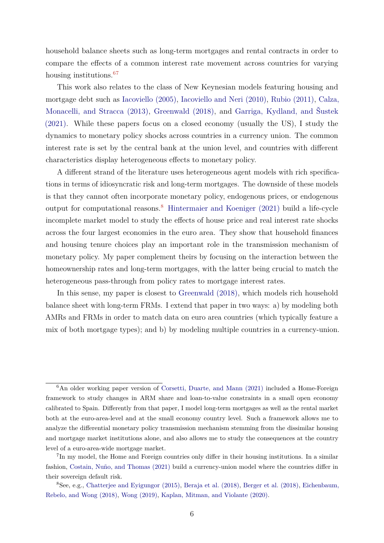<span id="page-5-0"></span>household balance sheets such as long-term mortgages and rental contracts in order to compare the effects of a common interest rate movement across countries for varying housing institutions.<sup>[67](#page-0-0)</sup>

This work also relates to the class of New Keynesian models featuring housing and mortgage debt such as [Iacoviello \(2005\),](#page-43-5) [Iacoviello and Neri \(2010\),](#page-43-6) [Rubio \(2011\),](#page-44-2) [Calza,](#page-41-2) [Monacelli, and Stracca \(2013\),](#page-41-2) [Greenwald \(2018\),](#page-43-1) and [Garriga, Kydland, and Šustek](#page-43-7) [\(2021\).](#page-43-7) While these papers focus on a closed economy (usually the US), I study the dynamics to monetary policy shocks across countries in a currency union. The common interest rate is set by the central bank at the union level, and countries with different characteristics display heterogeneous effects to monetary policy.

A different strand of the literature uses heterogeneous agent models with rich specifications in terms of idiosyncratic risk and long-term mortgages. The downside of these models is that they cannot often incorporate monetary policy, endogenous prices, or endogenous output for computational reasons.[8](#page-0-0) [Hintermaier and Koeniger \(2021\)](#page-43-8) build a life-cycle incomplete market model to study the effects of house price and real interest rate shocks across the four largest economies in the euro area. They show that household finances and housing tenure choices play an important role in the transmission mechanism of monetary policy. My paper complement theirs by focusing on the interaction between the homeownership rates and long-term mortgages, with the latter being crucial to match the heterogeneous pass-through from policy rates to mortgage interest rates.

In this sense, my paper is closest to [Greenwald \(2018\),](#page-43-1) which models rich household balance sheet with long-term FRMs. I extend that paper in two ways: a) by modeling both AMRs and FRMs in order to match data on euro area countries (which typically feature a mix of both mortgage types); and b) by modeling multiple countries in a currency-union.

<sup>&</sup>lt;sup>6</sup>An older working paper version of [Corsetti, Duarte, and Mann \(2021\)](#page-42-0) included a Home-Foreign framework to study changes in ARM share and loan-to-value constraints in a small open economy calibrated to Spain. Differently from that paper, I model long-term mortgages as well as the rental market both at the euro-area-level and at the small economy country level. Such a framework allows me to analyze the differential monetary policy transmission mechanism stemming from the dissimilar housing and mortgage market institutions alone, and also allows me to study the consequences at the country level of a euro-area-wide mortgage market.

<sup>&</sup>lt;sup>7</sup>In my model, the Home and Foreign countries only differ in their housing institutions. In a similar fashion, [Costain, Nuño, and Thomas \(2021\)](#page-42-8) build a currency-union model where the countries differ in their sovereign default risk.

<sup>8</sup>See, e.g., [Chatterjee and Eyigungor \(2015\),](#page-41-3) [Beraja et al. \(2018\),](#page-41-4) [Berger et al. \(2018\),](#page-41-5) [Eichenbaum,](#page-42-9) [Rebelo, and Wong \(2018\),](#page-42-9) [Wong \(2019\),](#page-44-3) [Kaplan, Mitman, and Violante \(2020\).](#page-43-9)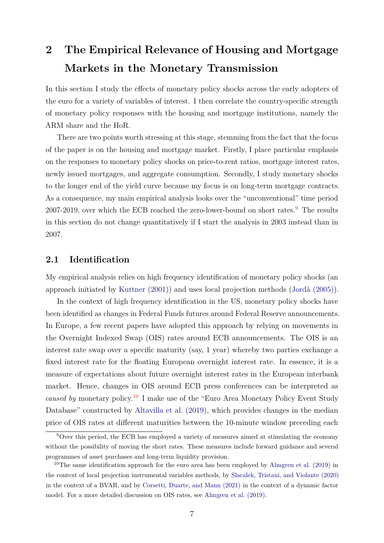# <span id="page-6-1"></span><span id="page-6-0"></span>**2 The Empirical Relevance of Housing and Mortgage Markets in the Monetary Transmission**

In this section I study the effects of monetary policy shocks across the early adopters of the euro for a variety of variables of interest. I then correlate the country-specific strength of monetary policy responses with the housing and mortgage institutions, namely the ARM share and the HoR.

There are two points worth stressing at this stage, stemming from the fact that the focus of the paper is on the housing and mortgage market. Firstly, I place particular emphasis on the responses to monetary policy shocks on price-to-rent ratios, mortgage interest rates, newly issued mortgages, and aggregate consumption. Secondly, I study monetary shocks to the longer end of the yield curve because my focus is on long-term mortgage contracts. As a consequence, my main empirical analysis looks over the "unconventional" time period 2007-201[9](#page-0-0), over which the ECB reached the zero-lower-bound on short rates. $9$  The results in this section do not change quantitatively if I start the analysis in 2003 instead than in 2007.

### **2.1 Identification**

My empirical analysis relies on high frequency identification of monetary policy shocks (an approach initiated by [Kuttner \(2001\)\)](#page-44-4) and uses local projection methods [\(Jordà \(2005\)\)](#page-43-0).

In the context of high frequency identification in the US, monetary policy shocks have been identified as changes in Federal Funds futures around Federal Reserve announcements. In Europe, a few recent papers have adopted this approach by relying on movements in the Overnight Indexed Swap (OIS) rates around ECB announcements. The OIS is an interest rate swap over a specific maturity (say, 1 year) whereby two parties exchange a fixed interest rate for the floating European overnight interest rate. In essence, it is a measure of expectations about future overnight interest rates in the European interbank market. Hence, changes in OIS around ECB press conferences can be interpreted as *caused by* monetary policy.[10](#page-0-0) I make use of the "Euro Area Monetary Policy Event Study Database" constructed by [Altavilla et al. \(2019\),](#page-41-6) which provides changes in the median price of OIS rates at different maturities between the 10-minute window preceding each

<sup>9</sup>Over this period, the ECB has employed a variety of measures aimed at stimulating the economy without the possibility of moving the short rates. These measures include forward guidance and several programmes of asset purchases and long-term liquidity provision.

<sup>&</sup>lt;sup>10</sup>The same identification approach for the euro area has been employed by [Almgren et al. \(2019\)](#page-41-1) in the context of local projection instrumental variables methods, by [Slacalek, Tristani, and Violante \(2020\)](#page-44-0) in the context of a BVAR, and by [Corsetti, Duarte, and Mann \(2021\)](#page-42-0) in the context of a dynamic factor model. For a more detailed discussion on OIS rates, see [Almgren et al. \(2019\).](#page-41-1)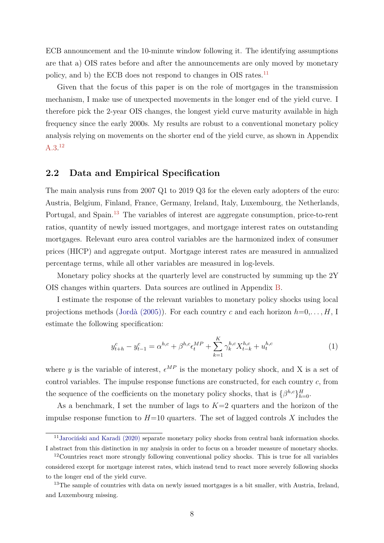<span id="page-7-1"></span>ECB announcement and the 10-minute window following it. The identifying assumptions are that a) OIS rates before and after the announcements are only moved by monetary policy, and b) the ECB does not respond to changes in OIS rates.<sup>[11](#page-0-0)</sup>

Given that the focus of this paper is on the role of mortgages in the transmission mechanism, I make use of unexpected movements in the longer end of the yield curve. I therefore pick the 2-year OIS changes, the longest yield curve maturity available in high frequency since the early 2000s. My results are robust to a conventional monetary policy analysis relying on movements on the shorter end of the yield curve, as shown in Appendix [A.3.](#page-47-0) [12](#page-0-0)

### <span id="page-7-2"></span>**2.2 Data and Empirical Specification**

The main analysis runs from 2007 Q1 to 2019 Q3 for the eleven early adopters of the euro: Austria, Belgium, Finland, France, Germany, Ireland, Italy, Luxembourg, the Netherlands, Portugal, and Spain.<sup>[13](#page-0-0)</sup> The variables of interest are aggregate consumption, price-to-rent ratios, quantity of newly issued mortgages, and mortgage interest rates on outstanding mortgages. Relevant euro area control variables are the harmonized index of consumer prices (HICP) and aggregate output. Mortgage interest rates are measured in annualized percentage terms, while all other variables are measured in log-levels.

Monetary policy shocks at the quarterly level are constructed by summing up the 2Y OIS changes within quarters. Data sources are outlined in Appendix [B.](#page-55-0)

I estimate the response of the relevant variables to monetary policy shocks using local projections methods [\(Jordà \(2005\)\)](#page-43-0). For each country *c* and each horizon *h*=0,*. . . , H*, I estimate the following specification:

<span id="page-7-0"></span>
$$
y_{t+h}^c - y_{t-1}^c = \alpha^{h,c} + \beta^{h,c} \epsilon_t^{MP} + \sum_{k=1}^K \gamma_k^{h,c} X_{t-k}^{h,c} + u_t^{h,c}
$$
 (1)

where y is the variable of interest,  $\epsilon^{MP}$  is the monetary policy shock, and X is a set of control variables. The impulse response functions are constructed, for each country *c*, from the sequence of the coefficients on the monetary policy shocks, that is  $\{\beta^{h,c}\}_{h=0}^H$ .

As a benchmark, I set the number of lags to  $K=2$  quarters and the horizon of the impulse response function to  $H=10$  quarters. The set of lagged controls X includes the

<sup>&</sup>lt;sup>11</sup>[Jarociński and Karadi \(2020\)](#page-43-10) separate monetary policy shocks from central bank information shocks. I abstract from this distinction in my analysis in order to focus on a broader measure of monetary shocks.

<sup>&</sup>lt;sup>12</sup>Countries react more strongly following conventional policy shocks. This is true for all variables considered except for mortgage interest rates, which instead tend to react more severely following shocks to the longer end of the yield curve.

<sup>&</sup>lt;sup>13</sup>The sample of countries with data on newly issued mortgages is a bit smaller, with Austria, Ireland, and Luxembourg missing.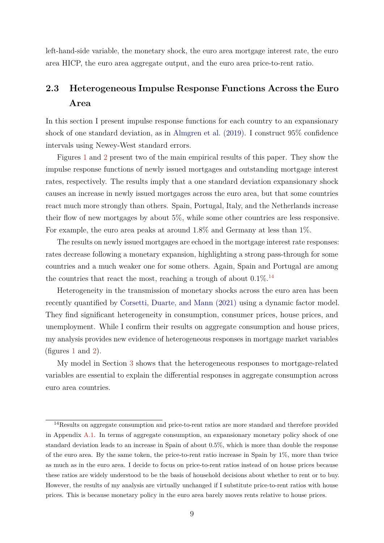<span id="page-8-1"></span>left-hand-side variable, the monetary shock, the euro area mortgage interest rate, the euro area HICP, the euro area aggregate output, and the euro area price-to-rent ratio.

# <span id="page-8-0"></span>**2.3 Heterogeneous Impulse Response Functions Across the Euro Area**

In this section I present impulse response functions for each country to an expansionary shock of one standard deviation, as in [Almgren et al. \(2019\).](#page-41-1) I construct 95% confidence intervals using Newey-West standard errors.

Figures [1](#page-9-0) and [2](#page-10-0) present two of the main empirical results of this paper. They show the impulse response functions of newly issued mortgages and outstanding mortgage interest rates, respectively. The results imply that a one standard deviation expansionary shock causes an increase in newly issued mortgages across the euro area, but that some countries react much more strongly than others. Spain, Portugal, Italy, and the Netherlands increase their flow of new mortgages by about 5%, while some other countries are less responsive. For example, the euro area peaks at around 1.8% and Germany at less than 1%.

The results on newly issued mortgages are echoed in the mortgage interest rate responses: rates decrease following a monetary expansion, highlighting a strong pass-through for some countries and a much weaker one for some others. Again, Spain and Portugal are among the countries that react the most, reaching a trough of about  $0.1\%$ .<sup>[14](#page-0-0)</sup>

Heterogeneity in the transmission of monetary shocks across the euro area has been recently quantified by [Corsetti, Duarte, and Mann \(2021\)](#page-42-0) using a dynamic factor model. They find significant heterogeneity in consumption, consumer prices, house prices, and unemployment. While I confirm their results on aggregate consumption and house prices, my analysis provides new evidence of heterogeneous responses in mortgage market variables (figures [1](#page-9-0) and [2\)](#page-10-0).

My model in Section [3](#page-13-0) shows that the heterogeneous responses to mortgage-related variables are essential to explain the differential responses in aggregate consumption across euro area countries.

<sup>&</sup>lt;sup>14</sup>Results on aggregate consumption and price-to-rent ratios are more standard and therefore provided in Appendix [A.1.](#page-45-0) In terms of aggregate consumption, an expansionary monetary policy shock of one standard deviation leads to an increase in Spain of about 0*.*5%, which is more than double the response of the euro area. By the same token, the price-to-rent ratio increase in Spain by 1%, more than twice as much as in the euro area. I decide to focus on price-to-rent ratios instead of on house prices because these ratios are widely understood to be the basis of household decisions about whether to rent or to buy. However, the results of my analysis are virtually unchanged if I substitute price-to-rent ratios with house prices. This is because monetary policy in the euro area barely moves rents relative to house prices.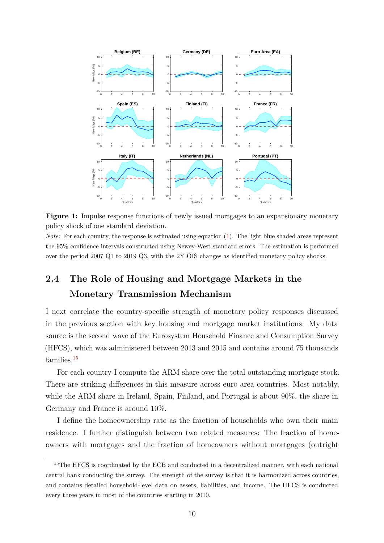<span id="page-9-0"></span>

**Figure 1:** Impulse response functions of newly issued mortgages to an expansionary monetary policy shock of one standard deviation.

*Note*: For each country, the response is estimated using equation [\(1\)](#page-7-0). The light blue shaded areas represent the 95% confidence intervals constructed using Newey-West standard errors. The estimation is performed over the period 2007 Q1 to 2019 Q3, with the 2Y OIS changes as identified monetary policy shocks.

# <span id="page-9-1"></span>**2.4 The Role of Housing and Mortgage Markets in the Monetary Transmission Mechanism**

I next correlate the country-specific strength of monetary policy responses discussed in the previous section with key housing and mortgage market institutions. My data source is the second wave of the Eurosystem Household Finance and Consumption Survey (HFCS), which was administered between 2013 and 2015 and contains around 75 thousands families.<sup>[15](#page-0-0)</sup>

For each country I compute the ARM share over the total outstanding mortgage stock. There are striking differences in this measure across euro area countries. Most notably, while the ARM share in Ireland, Spain, Finland, and Portugal is about 90%, the share in Germany and France is around 10%.

I define the homeownership rate as the fraction of households who own their main residence. I further distinguish between two related measures: The fraction of homeowners with mortgages and the fraction of homeowners without mortgages (outright

<sup>&</sup>lt;sup>15</sup>The HFCS is coordinated by the ECB and conducted in a decentralized manner, with each national central bank conducting the survey. The strength of the survey is that it is harmonized across countries, and contains detailed household-level data on assets, liabilities, and income. The HFCS is conducted every three years in most of the countries starting in 2010.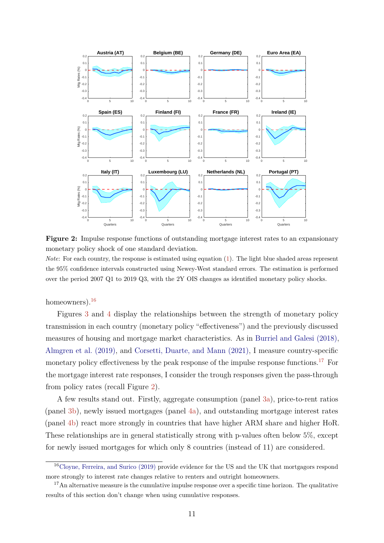<span id="page-10-1"></span><span id="page-10-0"></span>

**Figure 2:** Impulse response functions of outstanding mortgage interest rates to an expansionary monetary policy shock of one standard deviation.

*Note*: For each country, the response is estimated using equation [\(1\)](#page-7-0). The light blue shaded areas represent the 95% confidence intervals constructed using Newey-West standard errors. The estimation is performed over the period 2007 Q1 to 2019 Q3, with the 2Y OIS changes as identified monetary policy shocks.

homeowners). $16$ 

Figures [3](#page-11-0) and [4](#page-12-0) display the relationships between the strength of monetary policy transmission in each country (monetary policy "effectiveness") and the previously discussed measures of housing and mortgage market characteristics. As in [Burriel and Galesi \(2018\),](#page-41-7) [Almgren et al. \(2019\),](#page-41-1) and [Corsetti, Duarte, and Mann \(2021\),](#page-42-0) I measure country-specific monetary policy effectiveness by the peak response of the impulse response functions.<sup>[17](#page-0-0)</sup> For the mortgage interest rate responses, I consider the trough responses given the pass-through from policy rates (recall Figure [2\)](#page-10-0).

A few results stand out. Firstly, aggregate consumption (panel [3a\)](#page-11-0), price-to-rent ratios (panel [3b\)](#page-11-0), newly issued mortgages (panel [4a\)](#page-12-0), and outstanding mortgage interest rates (panel [4b\)](#page-12-0) react more strongly in countries that have higher ARM share and higher HoR. These relationships are in general statistically strong with p-values often below 5%, except for newly issued mortgages for which only 8 countries (instead of 11) are considered.

<sup>16</sup>[Cloyne, Ferreira, and Surico \(2019\)](#page-42-10) provide evidence for the US and the UK that mortgagors respond more strongly to interest rate changes relative to renters and outright homeowners.

<sup>&</sup>lt;sup>17</sup>An alternative measure is the cumulative impulse response over a specific time horizon. The qualitative results of this section don't change when using cumulative responses.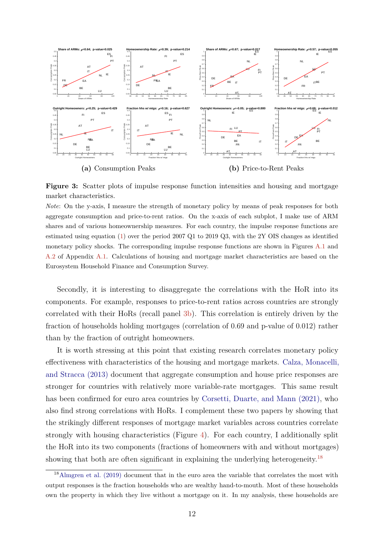<span id="page-11-1"></span><span id="page-11-0"></span>

**Figure 3:** Scatter plots of impulse response function intensities and housing and mortgage market characteristics.

*Note*: On the y-axis, I measure the strength of monetary policy by means of peak responses for both aggregate consumption and price-to-rent ratios. On the x-axis of each subplot, I make use of ARM shares and of various homeownership measures. For each country, the impulse response functions are estimated using equation [\(1\)](#page-7-0) over the period 2007 Q1 to 2019 Q3, with the 2Y OIS changes as identified monetary policy shocks. The corresponding impulse response functions are shown in Figures [A.1](#page-45-1) and [A.2](#page-46-0) of Appendix [A.1.](#page-45-0) Calculations of housing and mortgage market characteristics are based on the Eurosystem Household Finance and Consumption Survey.

Secondly, it is interesting to disaggregate the correlations with the HoR into its components. For example, responses to price-to-rent ratios across countries are strongly correlated with their HoRs (recall panel [3b\)](#page-11-0). This correlation is entirely driven by the fraction of households holding mortgages (correlation of 0*.*69 and p-value of 0*.*012) rather than by the fraction of outright homeowners.

It is worth stressing at this point that existing research correlates monetary policy effectiveness with characteristics of the housing and mortgage markets. [Calza, Monacelli,](#page-41-2) [and Stracca \(2013\)](#page-41-2) document that aggregate consumption and house price responses are stronger for countries with relatively more variable-rate mortgages. This same result has been confirmed for euro area countries by [Corsetti, Duarte, and Mann \(2021\),](#page-42-0) who also find strong correlations with HoRs. I complement these two papers by showing that the strikingly different responses of mortgage market variables across countries correlate strongly with housing characteristics (Figure [4\)](#page-12-0). For each country, I additionally split the HoR into its two components (fractions of homeowners with and without mortgages) showing that both are often significant in explaining the underlying heterogeneity.<sup>[18](#page-0-0)</sup>

<sup>&</sup>lt;sup>18</sup>[Almgren et al. \(2019\)](#page-41-1) document that in the euro area the variable that correlates the most with output responses is the fraction households who are wealthy hand-to-mouth. Most of these households own the property in which they live without a mortgage on it. In my analysis, these households are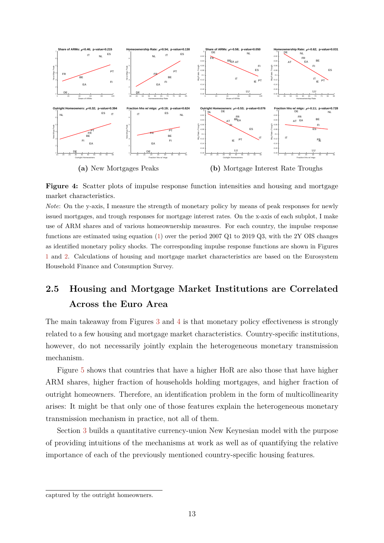<span id="page-12-0"></span>

**Figure 4:** Scatter plots of impulse response function intensities and housing and mortgage market characteristics.

*Note*: On the y-axis, I measure the strength of monetary policy by means of peak responses for newly issued mortgages, and trough responses for mortgage interest rates. On the x-axis of each subplot, I make use of ARM shares and of various homeownership measures. For each country, the impulse response functions are estimated using equation [\(1\)](#page-7-0) over the period 2007 Q1 to 2019 Q3, with the 2Y OIS changes as identified monetary policy shocks. The corresponding impulse response functions are shown in Figures [1](#page-9-0) and [2.](#page-10-0) Calculations of housing and mortgage market characteristics are based on the Eurosystem Household Finance and Consumption Survey.

# **2.5 Housing and Mortgage Market Institutions are Correlated Across the Euro Area**

The main takeaway from Figures [3](#page-11-0) and [4](#page-12-0) is that monetary policy effectiveness is strongly related to a few housing and mortgage market characteristics. Country-specific institutions, however, do not necessarily jointly explain the heterogeneous monetary transmission mechanism.

Figure [5](#page-13-1) shows that countries that have a higher HoR are also those that have higher ARM shares, higher fraction of households holding mortgages, and higher fraction of outright homeowners. Therefore, an identification problem in the form of multicollinearity arises: It might be that only one of those features explain the heterogeneous monetary transmission mechanism in practice, not all of them.

Section [3](#page-13-0) builds a quantitative currency-union New Keynesian model with the purpose of providing intuitions of the mechanisms at work as well as of quantifying the relative importance of each of the previously mentioned country-specific housing features.

captured by the outright homeowners.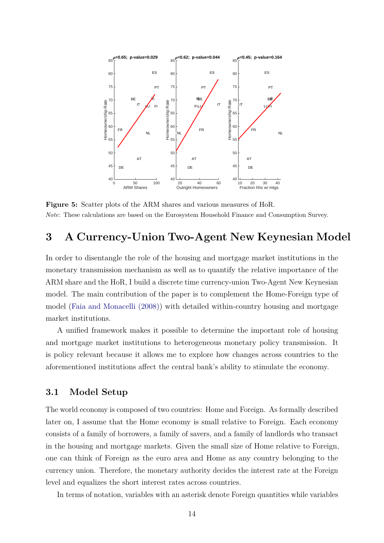<span id="page-13-2"></span><span id="page-13-1"></span>

**Figure 5:** Scatter plots of the ARM shares and various measures of HoR. *Note*: These calculations are based on the Eurosystem Household Finance and Consumption Survey.

# <span id="page-13-0"></span>**3 A Currency-Union Two-Agent New Keynesian Model**

In order to disentangle the role of the housing and mortgage market institutions in the monetary transmission mechanism as well as to quantify the relative importance of the ARM share and the HoR, I build a discrete time currency-union Two-Agent New Keynesian model. The main contribution of the paper is to complement the Home-Foreign type of model [\(Faia and Monacelli \(2008\)\)](#page-42-1) with detailed within-country housing and mortgage market institutions.

A unified framework makes it possible to determine the important role of housing and mortgage market institutions to heterogeneous monetary policy transmission. It is policy relevant because it allows me to explore how changes across countries to the aforementioned institutions affect the central bank's ability to stimulate the economy.

### **3.1 Model Setup**

The world economy is composed of two countries: Home and Foreign. As formally described later on, I assume that the Home economy is small relative to Foreign. Each economy consists of a family of borrowers, a family of savers, and a family of landlords who transact in the housing and mortgage markets. Given the small size of Home relative to Foreign, one can think of Foreign as the euro area and Home as any country belonging to the currency union. Therefore, the monetary authority decides the interest rate at the Foreign level and equalizes the short interest rates across countries.

In terms of notation, variables with an asterisk denote Foreign quantities while variables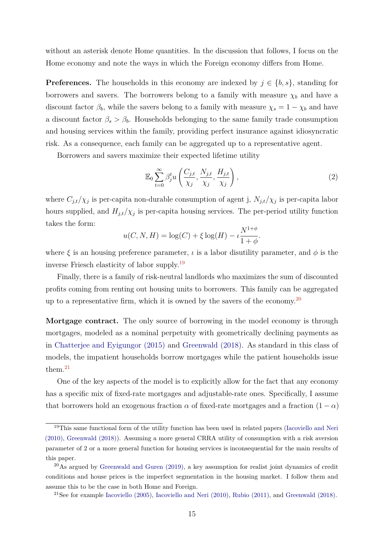<span id="page-14-0"></span>without an asterisk denote Home quantities. In the discussion that follows, I focus on the Home economy and note the ways in which the Foreign economy differs from Home.

**Preferences.** The households in this economy are indexed by  $j \in \{b, s\}$ , standing for borrowers and savers. The borrowers belong to a family with measure  $\chi_b$  and have a discount factor  $\beta_b$ , while the savers belong to a family with measure  $\chi_s = 1 - \chi_b$  and have a discount factor  $\beta_s > \beta_b$ . Households belonging to the same family trade consumption and housing services within the family, providing perfect insurance against idiosyncratic risk. As a consequence, each family can be aggregated up to a representative agent.

Borrowers and savers maximize their expected lifetime utility

<span id="page-14-1"></span>
$$
\mathbb{E}_0 \sum_{t=0}^{\infty} \beta_j^t u\left(\frac{C_{j,t}}{\chi_j}, \frac{N_{j,t}}{\chi_j}, \frac{H_{j,t}}{\chi_j}\right),\tag{2}
$$

where  $C_{j,t}/\chi_j$  is per-capita non-durable consumption of agent j,  $N_{j,t}/\chi_j$  is per-capita labor hours supplied, and  $H_{j,t}/\chi_j$  is per-capita housing services. The per-period utility function takes the form:

$$
u(C, N, H) = \log(C) + \xi \log(H) - \iota \frac{N^{1+\phi}}{1+\phi}.
$$

where  $\xi$  is an housing preference parameter,  $\iota$  is a labor disutility parameter, and  $\phi$  is the inverse Friesch elasticity of labor supply.[19](#page-0-0)

Finally, there is a family of risk-neutral landlords who maximizes the sum of discounted profits coming from renting out housing units to borrowers. This family can be aggregated up to a representative firm, which it is owned by the savers of the economy.<sup>[20](#page-0-0)</sup>

**Mortgage contract.** The only source of borrowing in the model economy is through mortgages, modeled as a nominal perpetuity with geometrically declining payments as in [Chatterjee and Eyigungor \(2015\)](#page-41-3) and [Greenwald \(2018\).](#page-43-1) As standard in this class of models, the impatient households borrow mortgages while the patient households issue them.[21](#page-0-0)

One of the key aspects of the model is to explicitly allow for the fact that any economy has a specific mix of fixed-rate mortgages and adjustable-rate ones. Specifically, I assume that borrowers hold an exogenous fraction  $\alpha$  of fixed-rate mortgages and a fraction  $(1 - \alpha)$ 

<sup>&</sup>lt;sup>19</sup>This same functional form of the utility function has been used in related papers [\(Iacoviello and Neri](#page-43-6) [\(2010\),](#page-43-6) [Greenwald \(2018\)\)](#page-43-1). Assuming a more general CRRA utility of consumption with a risk aversion parameter of 2 or a more general function for housing services is inconsequential for the main results of this paper.

<sup>20</sup>As argued by [Greenwald and Guren \(2019\),](#page-43-2) a key assumption for realist joint dynamics of credit conditions and house prices is the imperfect segmentation in the housing market. I follow them and assume this to be the case in both Home and Foreign.

<sup>&</sup>lt;sup>21</sup>See for example Iacoviello  $(2005)$ , Iacoviello and Neri  $(2010)$ , Rubio  $(2011)$ , and Greenwald  $(2018)$ .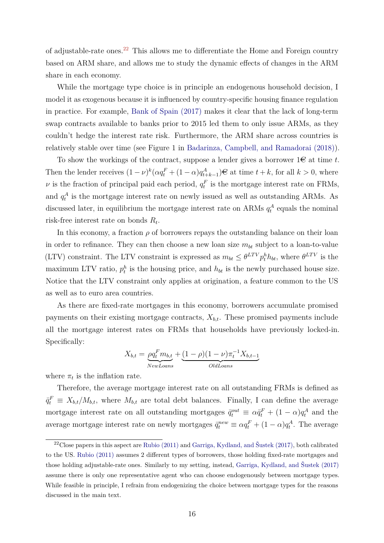<span id="page-15-0"></span>of adjustable-rate ones.[22](#page-0-0) This allows me to differentiate the Home and Foreign country based on ARM share, and allows me to study the dynamic effects of changes in the ARM share in each economy.

While the mortgage type choice is in principle an endogenous household decision, I model it as exogenous because it is influenced by country-specific housing finance regulation in practice. For example, [Bank of Spain \(2017\)](#page-41-0) makes it clear that the lack of long-term swap contracts available to banks prior to 2015 led them to only issue ARMs, as they couldn't hedge the interest rate risk. Furthermore, the ARM share across countries is relatively stable over time (see Figure 1 in [Badarinza, Campbell, and Ramadorai \(2018\)\)](#page-41-8).

To show the workings of the contract, suppose a lender gives a borrower  $1\in$  at time t. Then the lender receives  $(1 - \nu)^k (\alpha q_t^F + (1 - \alpha) q_{t+k-1}^A) \in \mathbb{R}$  at time  $t + k$ , for all  $k > 0$ , where *ν* is the fraction of principal paid each period,  $q_t^F$  is the mortgage interest rate on FRMs, and  $q_t^A$  is the mortgage interest rate on newly issued as well as outstanding ARMs. As discussed later, in equilibrium the mortgage interest rate on ARMs  $q_t^A$  equals the nominal risk-free interest rate on bonds *R<sup>t</sup>* .

In this economy, a fraction  $\rho$  of borrowers repays the outstanding balance on their loan in order to refinance. They can then choose a new loan size  $m_{bt}$  subject to a loan-to-value (LTV) constraint. The LTV constraint is expressed as  $m_{bt} \leq \theta^{LTV} p_t^h h_{bt}$ , where  $\theta^{LTV}$  is the maximum LTV ratio,  $p_t^h$  is the housing price, and  $h_{bt}$  is the newly purchased house size. Notice that the LTV constraint only applies at origination, a feature common to the US as well as to euro area countries.

As there are fixed-rate mortgages in this economy, borrowers accumulate promised payments on their existing mortgage contracts,  $X_{b,t}$ . These promised payments include all the mortgage interest rates on FRMs that households have previously locked-in. Specifically:

$$
X_{b,t} = \underbrace{\rho q_t^F m_{b,t}}_{NewLoans} + \underbrace{(1-\rho)(1-\nu)\pi_t^{-1}X_{b,t-1}}_{OldLoans}
$$

where  $\pi_t$  is the inflation rate.

Therefore, the average mortgage interest rate on all outstanding FRMs is defined as  $\bar{q}^F_t \equiv X_{b,t}/M_{b,t}$ , where  $M_{b,t}$  are total debt balances. Finally, I can define the average mortgage interest rate on all outstanding mortgages  $\bar{q}_t^{out} \equiv \alpha \bar{q}_t^F + (1 - \alpha) q_t^A$  and the average mortgage interest rate on newly mortgages  $\bar{q}_t^{new} \equiv \alpha q_t^F + (1 - \alpha) q_t^A$ . The average

<sup>22</sup>Close papers in this aspect are [Rubio \(2011\)](#page-44-2) and [Garriga, Kydland, and Šustek \(2017\),](#page-43-11) both calibrated to the US. [Rubio \(2011\)](#page-44-2) assumes 2 different types of borrowers, those holding fixed-rate mortgages and those holding adjustable-rate ones. Similarly to my setting, instead, [Garriga, Kydland, and Šustek \(2017\)](#page-43-11) assume there is only one representative agent who can choose endogenously between mortgage types. While feasible in principle, I refrain from endogenizing the choice between mortgage types for the reasons discussed in the main text.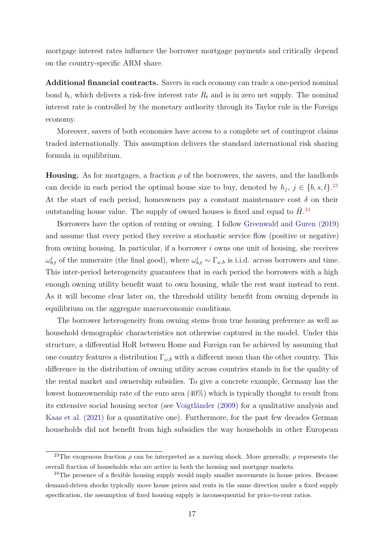<span id="page-16-0"></span>mortgage interest rates influence the borrower mortgage payments and critically depend on the country-specific ARM share.

**Additional financial contracts.** Savers in each economy can trade a one-period nominal bond  $b_t$ , which delivers a risk-free interest rate  $R_t$  and is in zero net supply. The nominal interest rate is controlled by the monetary authority through its Taylor rule in the Foreign economy.

Moreover, savers of both economies have access to a complete set of contingent claims traded internationally. This assumption delivers the standard international risk sharing formula in equilibrium.

**Housing.** As for mortgages, a fraction  $\rho$  of the borrowers, the savers, and the landlords can decide in each period the optimal house size to buy, denoted by  $h_j$ ,  $j \in \{b, s, l\}$ .<sup>[23](#page-0-0)</sup> At the start of each period, homeowners pay a constant maintenance cost  $\delta$  on their outstanding house value. The supply of owned houses is fixed and equal to  $\bar{H}$ <sup>[24](#page-0-0)</sup>

Borrowers have the option of renting or owning. I follow [Greenwald and Guren \(2019\)](#page-43-2) and assume that every period they receive a stochastic service flow (positive or negative) from owning housing. In particular, if a borrower *i* owns one unit of housing, she receives  $ω_{b,t}^i$  of the numeraire (the final good), where  $ω_{b,t}^i$  ∼ Γ<sub>ω,b</sub> is i.i.d. across borrowers and time. This inter-period heterogeneity guarantees that in each period the borrowers with a high enough owning utility benefit want to own housing, while the rest want instead to rent. As it will become clear later on, the threshold utility benefit from owning depends in equilibrium on the aggregate macroeconomic conditions.

The borrower heterogeneity from owning stems from true housing preference as well as household demographic characteristics not otherwise captured in the model. Under this structure, a differential HoR between Home and Foreign can be achieved by assuming that one country features a distribution  $\Gamma_{\omega,b}$  with a different mean than the other country. This difference in the distribution of owning utility across countries stands in for the quality of the rental market and ownership subsidies. To give a concrete example, Germany has the lowest homeownership rate of the euro area (40%) which is typically thought to result from its extensive social housing sector (see [Voigtländer \(2009\)](#page-44-5) for a qualitative analysis and [Kaas et al. \(2021\)](#page-43-3) for a quantitative one). Furthermore, for the past few decades German households did not benefit from high subsidies the way households in other European

<sup>&</sup>lt;sup>23</sup>The exogenous fraction  $\rho$  can be interpreted as a moving shock. More generally,  $\rho$  represents the overall fraction of households who are active in both the housing and mortgage markets.

 $24$ The presence of a flexible housing supply would imply smaller movements in house prices. Because demand-driven shocks typically move house prices and rents in the same direction under a fixed supply specification, the assumption of fixed housing supply is inconsequential for price-to-rent ratios.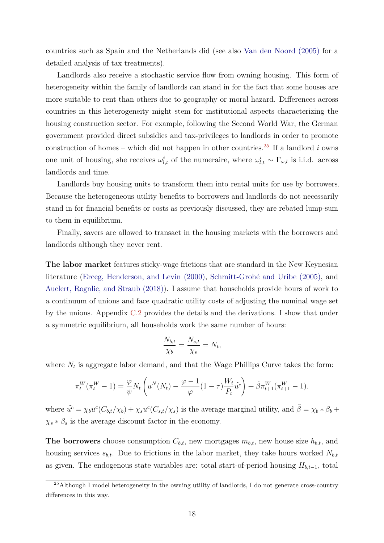<span id="page-17-0"></span>countries such as Spain and the Netherlands did (see also [Van den Noord \(2005\)](#page-44-6) for a detailed analysis of tax treatments).

Landlords also receive a stochastic service flow from owning housing. This form of heterogeneity within the family of landlords can stand in for the fact that some houses are more suitable to rent than others due to geography or moral hazard. Differences across countries in this heterogeneity might stem for institutional aspects characterizing the housing construction sector. For example, following the Second World War, the German government provided direct subsidies and tax-privileges to landlords in order to promote construction of homes – which did not happen in other countries.<sup>[25](#page-0-0)</sup> If a landlord  $i$  owns one unit of housing, she receives  $\omega_{l,t}^i$  of the numeraire, where  $\omega_{l,t}^i \sim \Gamma_{\omega,l}$  is i.i.d. across landlords and time.

Landlords buy housing units to transform them into rental units for use by borrowers. Because the heterogeneous utility benefits to borrowers and landlords do not necessarily stand in for financial benefits or costs as previously discussed, they are rebated lump-sum to them in equilibrium.

Finally, savers are allowed to transact in the housing markets with the borrowers and landlords although they never rent.

**The labor market** features sticky-wage frictions that are standard in the New Keynesian literature [\(Erceg, Henderson, and Levin \(2000\),](#page-42-11) [Schmitt-Grohé and Uribe \(2005\),](#page-44-7) and [Auclert, Rognlie, and Straub \(2018\)\)](#page-41-9). I assume that households provide hours of work to a continuum of unions and face quadratic utility costs of adjusting the nominal wage set by the unions. Appendix [C.2](#page-57-0) provides the details and the derivations. I show that under a symmetric equilibrium, all households work the same number of hours:

$$
\frac{N_{b,t}}{\chi_b} = \frac{N_{s,t}}{\chi_s} = N_t,
$$

where  $N_t$  is aggregate labor demand, and that the Wage Phillips Curve takes the form:

$$
\pi_t^W(\pi_t^W - 1) = \frac{\varphi}{\psi} N_t \left( u^N(N_t) - \frac{\varphi - 1}{\varphi} (1 - \tau) \frac{W_t}{P_t} \tilde{u}^c \right) + \tilde{\beta} \pi_{t+1}^W(\pi_{t+1}^W - 1).
$$

where  $\tilde{u}^c = \chi_b u^c (C_{b,t}/\chi_b) + \chi_s u^c (C_{s,t}/\chi_s)$  is the average marginal utility, and  $\tilde{\beta} = \chi_b * \beta_b + \chi_s u^c C_{b,t}/\chi_b$  $\chi_s * \beta_s$  is the average discount factor in the economy.

**The borrowers** choose consumption  $C_{b,t}$ , new mortgages  $m_{b,t}$ , new house size  $h_{b,t}$ , and housing services  $s_{b,t}$ . Due to frictions in the labor market, they take hours worked  $N_{b,t}$ as given. The endogenous state variables are: total start-of-period housing  $H_{b,t-1}$ , total

<sup>&</sup>lt;sup>25</sup>Although I model heterogeneity in the owning utility of landlords, I do not generate cross-country differences in this way.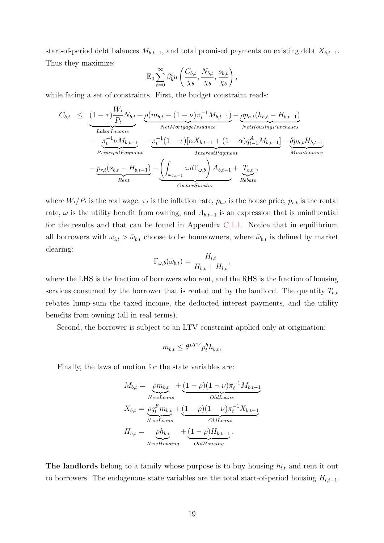start-of-period debt balances  $M_{b,t-1}$ , and total promised payments on existing debt  $X_{b,t-1}$ . Thus they maximize:

$$
\mathbb{E}_0 \sum_{t=0}^{\infty} \beta_b^t u\left(\frac{C_{b,t}}{\chi_b}, \frac{N_{b,t}}{\chi_b}, \frac{s_{b,t}}{\chi_b}\right),
$$

while facing a set of constraints. First, the budget constraint reads:

$$
C_{b,t} \leq \underbrace{(1-\tau)\frac{W_t}{P_t}N_{b,t}}_{\text{Labor Income}} + \underbrace{\rho(m_{b,t} - (1-\nu)\pi_t^{-1}M_{b,t-1})}_{\text{NetMortgage} \to \text{square}} - \underbrace{\rho p_{h,t}(h_{b,t} - H_{b,t-1})}_{\text{NetHousingPurchases}}_{\text{Principal Payment}} - \underbrace{\pi_t^{-1}\nu M_{b,t-1}}_{\text{PrincipalPayment}} - \underbrace{\pi_t^{-1}(1-\tau)[\alpha X_{b,t-1} + (1-\alpha)q_{t-1}^A M_{b,t-1}]}_{\text{InterestPayment}} - \underbrace{p_{r,t}(s_{b,t} - H_{b,t-1})}_{\text{Rebate}} + \underbrace{\left(\int_{\bar{\omega}_{b,t-1}} \omega d\Gamma_{\omega,b}\right) A_{b,t-1}}_{\text{OumerSurplus}} + \underbrace{T_{b,t}}_{\text{Rebate}},
$$

where  $W_t/P_t$  is the real wage,  $\pi_t$  is the inflation rate,  $p_{h,t}$  is the house price,  $p_{r,t}$  is the rental rate,  $\omega$  is the utility benefit from owning, and  $A_{b,t-1}$  is an expression that is uninfluential for the results and that can be found in Appendix [C.1.1.](#page-56-0) Notice that in equilibrium all borrowers with  $\omega_{i,t} > \bar{\omega}_{b,t}$  choose to be homeowners, where  $\bar{\omega}_{b,t}$  is defined by market clearing:

$$
\Gamma_{\omega,b}(\bar{\omega}_{b,t}) = \frac{H_{l,t}}{H_{b,t} + H_{l,t}},
$$

where the LHS is the fraction of borrowers who rent, and the RHS is the fraction of housing services consumed by the borrower that is rented out by the landlord. The quantity  $T_{b,t}$ rebates lump-sum the taxed income, the deducted interest payments, and the utility benefits from owning (all in real terms).

Second, the borrower is subject to an LTV constraint applied only at origination:

$$
m_{b,t} \leq \theta^{LTV} p_t^h h_{b,t},
$$

Finally, the laws of motion for the state variables are:

$$
M_{b,t} = \underbrace{ \rho m_{b,t}}_{NewLoans} + \underbrace{(1 - \rho)(1 - \nu)\pi_t^{-1} M_{b,t-1}}_{OldLoans}
$$
  
\n
$$
X_{b,t} = \underbrace{\rho q_t^F m_{b,t}}_{NewLoans} + \underbrace{(1 - \rho)(1 - \nu)\pi_t^{-1} X_{b,t-1}}_{OldLoans}
$$
  
\n
$$
H_{b,t} = \underbrace{\rho h_{b,t}}_{NewHousing} + \underbrace{(1 - \rho) H_{b,t-1}}_{OldHousing}.
$$

**The landlords** belong to a family whose purpose is to buy housing  $h_{l,t}$  and rent it out to borrowers. The endogenous state variables are the total start-of-period housing  $H_{l,t-1}$ .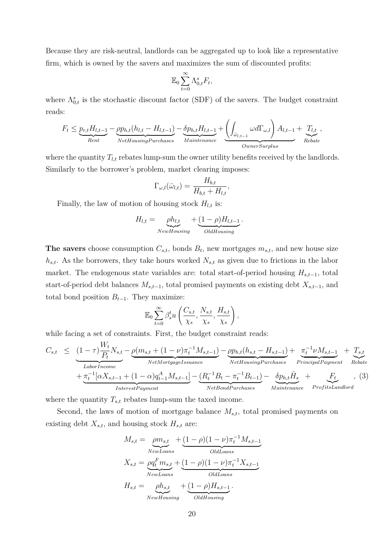Because they are risk-neutral, landlords can be aggregated up to look like a representative firm, which is owned by the savers and maximizes the sum of discounted profits:

$$
\mathbb{E}_0 \sum_{t=0}^{\infty} \Lambda_{0,t}^s F_t,
$$

where  $\Lambda_{0,t}^s$  is the stochastic discount factor (SDF) of the savers. The budget constraint reads:

$$
F_t \leq \underbrace{p_{r,t}H_{l,t-1}}_{Rent} - \underbrace{p p_{h,t}(h_{l,t} - H_{l,t-1})}_{NetHousingPurchases} - \underbrace{\delta p_{h,t}H_{l,t-1}}_{Maintenance} + \underbrace{\left(\int_{\bar{\omega}_{l,t-1}} \omega d\Gamma_{\omega,l}\right)A_{l,t-1}}_{OwnerSurplus} + \underbrace{T_{l,t}}_{Rebate},
$$

where the quantity  $T_{l,t}$  rebates lump-sum the owner utility benefits received by the landlords. Similarly to the borrower's problem, market clearing imposes:

$$
\Gamma_{\omega,l}(\bar{\omega}_{l,t}) = \frac{H_{b,t}}{H_{b,t} + H_{l,t}},
$$

Finally, the law of motion of housing stock  $H_{l,t}$  is:

$$
H_{l,t} = \underbrace{\rho h_{l,t}}_{NewHousing} + \underbrace{(1-\rho)H_{l,t-1}}_{OldHousing}.
$$

**The savers** choose consumption  $C_{s,t}$ , bonds  $B_t$ , new mortgages  $m_{s,t}$ , and new house size *hs,t*. As the borrowers, they take hours worked *Ns,t* as given due to frictions in the labor market. The endogenous state variables are: total start-of-period housing *Hs,t*−1, total start-of-period debt balances *Ms,t*−1, total promised payments on existing debt *Xs,t*−1, and total bond position  $B_{t-1}$ . They maximize:

$$
\mathbb{E}_0 \sum_{t=0}^{\infty} \beta_s^t u\left(\frac{C_{s,t}}{\chi_s}, \frac{N_{s,t}}{\chi_s}, \frac{H_{s,t}}{\chi_s}\right),\,
$$

while facing a set of constraints. First, the budget constraint reads:

<span id="page-19-0"></span>
$$
C_{s,t} \leq \underbrace{(1-\tau)\frac{W_t}{P_t}N_{s,t}}_{\text{Labor Income}} - \underbrace{\rho(m_{s,t} + (1-\nu)\pi_t^{-1}M_{s,t-1})}_{\text{NetMortgage} = \underbrace{\rho p_{h,t}(h_{s,t} - H_{s,t-1})}_{\text{NetHousingPurchases}} + \underbrace{\pi_t^{-1}\nu M_{s,t-1}}_{\text{PrincipalPayment}} + \underbrace{T_{s,t}}_{\text{Rebate}} + \underbrace{\pi_t^{-1}[\alpha X_{s,t-1} + (1-\alpha)q_{t-1}^A M_{s,t-1}]}_{\text{InterestPayment}} - \underbrace{(R_t^{-1}B_t - \pi_t^{-1}B_{t-1})}_{\text{NetBondPurchases}} - \underbrace{\delta p_{h,t}\bar{H}_s}_{\text{Mainteanace}} + \underbrace{F_t}_{\text{ProfitsLandlord}}, \quad (3)
$$

where the quantity  $T_{s,t}$  rebates lump-sum the taxed income.

Second, the laws of motion of mortgage balance *Ms,t*, total promised payments on existing debt  $X_{s,t}$ , and housing stock  $H_{s,t}$  are:

$$
M_{s,t} = \underbrace{\rho m_{s,t}}_{\text{NewLoans}} + \underbrace{(1-\rho)(1-\nu)\pi_t^{-1}M_{s,t-1}}_{\text{OldLoans}} X_{s,t} = \underbrace{\rho q_t^F m_{s,t}}_{\text{NewLoans}} + \underbrace{(1-\rho)(1-\nu)\pi_t^{-1}X_{s,t-1}}_{\text{OldLoans}} H_{s,t} = \underbrace{\rho h_{s,t}}_{\text{NewHousing}} + \underbrace{(1-\rho)H_{s,t-1}}_{\text{OldHousing}}.
$$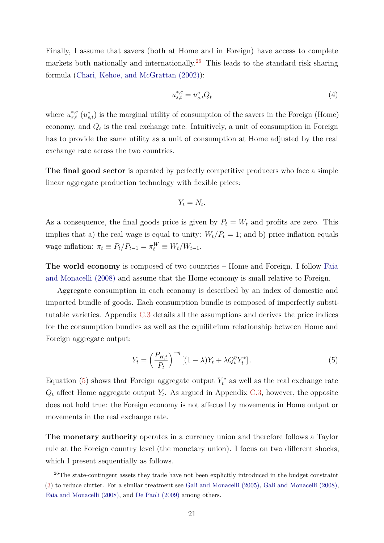<span id="page-20-1"></span>Finally, I assume that savers (both at Home and in Foreign) have access to complete markets both nationally and internationally.<sup>[26](#page-0-0)</sup> This leads to the standard risk sharing formula [\(Chari, Kehoe, and McGrattan \(2002\)\)](#page-41-10):

$$
u_{s,t}^{*,c} = u_{s,t}^c Q_t \tag{4}
$$

where  $u_{s,t}^{*,c}$  ( $u_{s,t}^{c}$ ) is the marginal utility of consumption of the savers in the Foreign (Home) economy, and  $Q_t$  is the real exchange rate. Intuitively, a unit of consumption in Foreign has to provide the same utility as a unit of consumption at Home adjusted by the real exchange rate across the two countries.

**The final good sector** is operated by perfectly competitive producers who face a simple linear aggregate production technology with flexible prices:

$$
Y_t = N_t.
$$

As a consequence, the final goods price is given by  $P_t = W_t$  and profits are zero. This implies that a) the real wage is equal to unity:  $W_t/P_t = 1$ ; and b) price inflation equals  $w$  wage inflation:  $\pi_t \equiv P_t/P_{t-1} = \pi_t^W \equiv W_t/W_{t-1}$ .

**The world economy** is composed of two countries – Home and Foreign. I follow [Faia](#page-42-1) [and Monacelli \(2008\)](#page-42-1) and assume that the Home economy is small relative to Foreign.

Aggregate consumption in each economy is described by an index of domestic and imported bundle of goods. Each consumption bundle is composed of imperfectly substitutable varieties. Appendix [C.3](#page-58-0) details all the assumptions and derives the price indices for the consumption bundles as well as the equilibrium relationship between Home and Foreign aggregate output:

<span id="page-20-0"></span>
$$
Y_t = \left(\frac{P_{H,t}}{P_t}\right)^{-\eta} \left[ (1-\lambda)Y_t + \lambda Q_t^{\eta} Y_t^* \right]. \tag{5}
$$

Equation [\(5\)](#page-20-0) shows that Foreign aggregate output  $Y_t^*$  as well as the real exchange rate  $Q_t$  affect Home aggregate output  $Y_t$ . As argued in Appendix [C.3,](#page-58-0) however, the opposite does not hold true: the Foreign economy is not affected by movements in Home output or movements in the real exchange rate.

**The monetary authority** operates in a currency union and therefore follows a Taylor rule at the Foreign country level (the monetary union). I focus on two different shocks, which I present sequentially as follows.

 $\sqrt[26]{\text{The state-contingent assets they trade have not been explicitly introduced in the budget constraint.}$ [\(3\)](#page-19-0) to reduce clutter. For a similar treatment see [Gali and Monacelli \(2005\),](#page-42-3) [Gali and Monacelli \(2008\),](#page-42-4) [Faia and Monacelli \(2008\),](#page-42-1) and [De Paoli \(2009\)](#page-42-5) among others.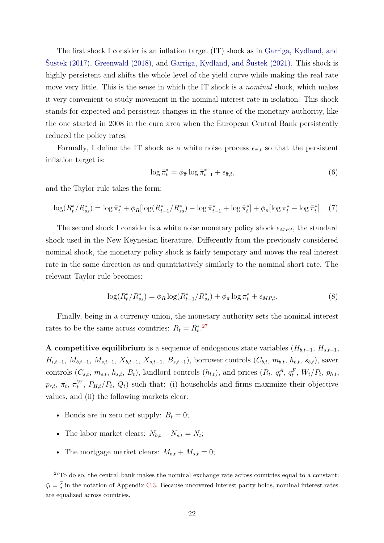<span id="page-21-3"></span>The first shock I consider is an inflation target (IT) shock as in [Garriga, Kydland, and](#page-43-11) Sustek (2017), [Greenwald \(2018\),](#page-43-1) and Garriga, Kydland, and Sustek (2021). This shock is highly persistent and shifts the whole level of the yield curve while making the real rate move very little. This is the sense in which the IT shock is a *nominal* shock, which makes it very convenient to study movement in the nominal interest rate in isolation. This shock stands for expected and persistent changes in the stance of the monetary authority, like the one started in 2008 in the euro area when the European Central Bank persistently reduced the policy rates.

Formally, I define the IT shock as a white noise process  $\epsilon_{\pi,t}$  so that the persistent inflation target is:

<span id="page-21-2"></span>
$$
\log \bar{\pi}_t^* = \phi_{\bar{\pi}} \log \bar{\pi}_{t-1}^* + \epsilon_{\bar{\pi},t},\tag{6}
$$

and the Taylor rule takes the form:

<span id="page-21-0"></span>
$$
\log(R_t^*/R_{ss}^*) = \log \bar{\pi}_t^* + \phi_R[\log(R_{t-1}^*/R_{ss}^*) - \log \bar{\pi}_{t-1}^* + \log \bar{\pi}_t^*] + \phi_\pi[\log \pi_t^* - \log \bar{\pi}_t^*]. \tag{7}
$$

The second shock I consider is a white noise monetary policy shock  $\epsilon_{MP,t}$ , the standard shock used in the New Keynesian literature. Differently from the previously considered nominal shock, the monetary policy shock is fairly temporary and moves the real interest rate in the same direction as and quantitatively similarly to the nominal short rate. The relevant Taylor rule becomes:

<span id="page-21-1"></span>
$$
\log(R_t^*/R_{ss}^*) = \phi_R \log(R_{t-1}^*/R_{ss}^*) + \phi_\pi \log \pi_t^* + \epsilon_{MP,t}.\tag{8}
$$

Finally, being in a currency union, the monetary authority sets the nominal interest rates to be the same across countries:  $R_t = R_t^{*27}$  $R_t = R_t^{*27}$  $R_t = R_t^{*27}$ 

**A competitive equilibrium** is a sequence of endogenous state variables ( $H_{b,t-1}$ ,  $H_{s,t-1}$ ,  $H_{l,t-1}, M_{b,t-1}, M_{s,t-1}, X_{b,t-1}, X_{s,t-1}, B_{s,t-1}$ , borrower controls  $(C_{b,t}, m_{b,t}, h_{b,t}, s_{b,t})$ , saver controls  $(C_{s,t}, m_{s,t}, h_{s,t}, B_t)$ , landlord controls  $(h_{l,t})$ , and prices  $(R_t, q_t^A, q_t^F, W_t/P_t, p_{h,t}, A_t)$  $p_{r,t}$ ,  $\pi_t$ ,  $\pi_t^W$ ,  $P_{H,t}/P_t$ ,  $Q_t$ ) such that: (i) households and firms maximize their objective values, and (ii) the following markets clear:

- Bonds are in zero net supply:  $B_t = 0$ ;
- The labor market clears:  $N_{b,t} + N_{s,t} = N_t$ ;
- The mortgage market clears:  $M_{b,t} + M_{s,t} = 0$ ;

 $27$ To do so, the central bank makes the nominal exchange rate across countries equal to a constant:  $\zeta_t = \bar{\zeta}$  in the notation of Appendix [C.3.](#page-58-0) Because uncovered interest parity holds, nominal interest rates are equalized across countries.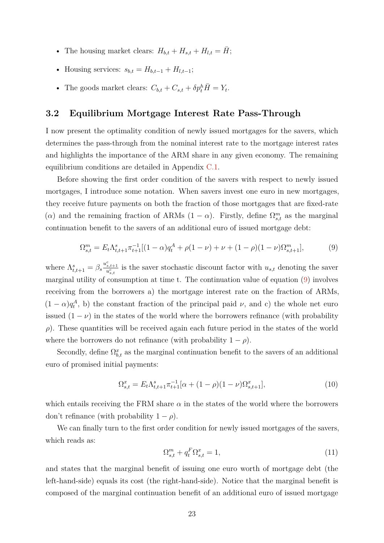- The housing market clears:  $H_{b,t} + H_{s,t} + H_{l,t} = \bar{H}$ ;
- Housing services:  $s_{b,t} = H_{b,t-1} + H_{l,t-1};$
- The goods market clears:  $C_{b,t} + C_{s,t} + \delta p_t^h \overline{H} = Y_t$ .

### <span id="page-22-3"></span>**3.2 Equilibrium Mortgage Interest Rate Pass-Through**

I now present the optimality condition of newly issued mortgages for the savers, which determines the pass-through from the nominal interest rate to the mortgage interest rates and highlights the importance of the ARM share in any given economy. The remaining equilibrium conditions are detailed in Appendix [C.1.](#page-56-1)

Before showing the first order condition of the savers with respect to newly issued mortgages, I introduce some notation. When savers invest one euro in new mortgages, they receive future payments on both the fraction of those mortgages that are fixed-rate (*α*) and the remaining fraction of ARMs  $(1 - \alpha)$ . Firstly, define  $\Omega_{s,t}^m$  as the marginal continuation benefit to the savers of an additional euro of issued mortgage debt:

<span id="page-22-0"></span>
$$
\Omega_{s,t}^m = E_t \Lambda_{t,t+1}^s \pi_{t+1}^{-1} [(1-\alpha)q_t^A + \rho(1-\nu) + \nu + (1-\rho)(1-\nu)\Omega_{s,t+1}^m],\tag{9}
$$

where  $\Lambda_{t,t+1}^s = \beta_s \frac{u_{s,t+1}^c}{u_{s,t}^c}$  is the saver stochastic discount factor with  $u_{s,t}$  denoting the saver marginal utility of consumption at time t. The continuation value of equation [\(9\)](#page-22-0) involves receiving from the borrowers a) the mortgage interest rate on the fraction of ARMs,  $(1 - \alpha)q_t^A$ , b) the constant fraction of the principal paid *v*, and c) the whole net euro issued  $(1 - \nu)$  in the states of the world where the borrowers refinance (with probability *ρ*). These quantities will be received again each future period in the states of the world where the borrowers do not refinance (with probability  $1 - \rho$ ).

Secondly, define  $\Omega_{b,t}^x$  as the marginal continuation benefit to the savers of an additional euro of promised initial payments:

<span id="page-22-1"></span>
$$
\Omega_{s,t}^x = E_t \Lambda_{t,t+1}^s \pi_{t+1}^{-1} [\alpha + (1 - \rho)(1 - \nu)\Omega_{s,t+1}^x],\tag{10}
$$

which entails receiving the FRM share  $\alpha$  in the states of the world where the borrowers don't refinance (with probability  $1 - \rho$ ).

We can finally turn to the first order condition for newly issued mortgages of the savers, which reads as:

<span id="page-22-2"></span>
$$
\Omega_{s,t}^m + q_t^F \Omega_{s,t}^x = 1,\tag{11}
$$

and states that the marginal benefit of issuing one euro worth of mortgage debt (the left-hand-side) equals its cost (the right-hand-side). Notice that the marginal benefit is composed of the marginal continuation benefit of an additional euro of issued mortgage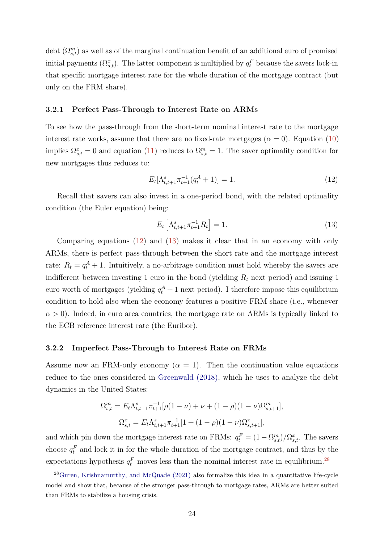<span id="page-23-2"></span>debt  $(\Omega_{s,t}^m)$  as well as of the marginal continuation benefit of an additional euro of promised initial payments  $(\Omega_{s,t}^x)$ . The latter component is multiplied by  $q_t^F$  because the savers lock-in that specific mortgage interest rate for the whole duration of the mortgage contract (but only on the FRM share).

#### **3.2.1 Perfect Pass-Through to Interest Rate on ARMs**

To see how the pass-through from the short-term nominal interest rate to the mortgage interest rate works, assume that there are no fixed-rate mortgages ( $\alpha = 0$ ). Equation [\(10\)](#page-22-1) implies  $\Omega_{s,t}^x = 0$  and equation [\(11\)](#page-22-2) reduces to  $\Omega_{s,t}^m = 1$ . The saver optimality condition for new mortgages thus reduces to:

<span id="page-23-0"></span>
$$
E_t[\Lambda_{t,t+1}^s \pi_{t+1}^{-1} (q_t^A + 1)] = 1.
$$
\n(12)

Recall that savers can also invest in a one-period bond, with the related optimality condition (the Euler equation) being:

<span id="page-23-1"></span>
$$
E_t \left[ \Lambda_{t,t+1}^s \pi_{t+1}^{-1} R_t \right] = 1. \tag{13}
$$

Comparing equations [\(12\)](#page-23-0) and [\(13\)](#page-23-1) makes it clear that in an economy with only ARMs, there is perfect pass-through between the short rate and the mortgage interest rate:  $R_t = q_t^A + 1$ . Intuitively, a no-arbitrage condition must hold whereby the savers are indifferent between investing 1 euro in the bond (yielding *R<sup>t</sup>* next period) and issuing 1 euro worth of mortgages (yielding  $q_t^A + 1$  next period). I therefore impose this equilibrium condition to hold also when the economy features a positive FRM share (i.e., whenever  $\alpha > 0$ ). Indeed, in euro area countries, the mortgage rate on ARMs is typically linked to the ECB reference interest rate (the Euribor).

#### **3.2.2 Imperfect Pass-Through to Interest Rate on FRMs**

Assume now an FRM-only economy  $(\alpha = 1)$ . Then the continuation value equations reduce to the ones considered in [Greenwald \(2018\),](#page-43-1) which he uses to analyze the debt dynamics in the United States:

$$
\Omega_{s,t}^{m} = E_t \Lambda_{t,t+1}^{s} \pi_{t+1}^{-1} [\rho (1 - \nu) + \nu + (1 - \rho)(1 - \nu) \Omega_{s,t+1}^{m}],
$$
  

$$
\Omega_{s,t}^{x} = E_t \Lambda_{t,t+1}^{s} \pi_{t+1}^{-1} [1 + (1 - \rho)(1 - \nu) \Omega_{s,t+1}^{x}],
$$

and which pin down the mortgage interest rate on FRMs:  $q_t^F = (1 - \Omega_{s,t}^m)/\Omega_{s,t}^x$ . The savers choose  $q_t^F$  and lock it in for the whole duration of the mortgage contract, and thus by the expectations hypothesis  $q_t^F$  moves less than the nominal interest rate in equilibrium.<sup>[28](#page-0-0)</sup>

 $^{28}$ [Guren, Krishnamurthy, and McQuade \(2021\)](#page-43-12) also formalize this idea in a quantitative life-cycle model and show that, because of the stronger pass-through to mortgage rates, ARMs are better suited than FRMs to stabilize a housing crisis.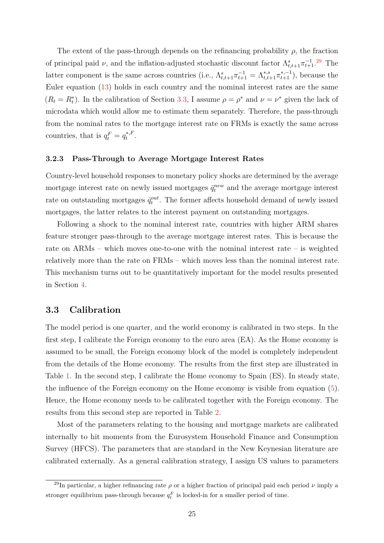The extent of the pass-through depends on the refinancing probability  $\rho$ , the fraction of principal paid *ν*, and the inflation-adjusted stochastic discount factor  $\Lambda_{t,t+1}^s \pi_{t+1}^{-1}$ .<sup>[29](#page-0-0)</sup> The latter component is the same across countries (i.e.,  $\Lambda_{t,t+1}^s \pi_{t+1}^{-1} = \Lambda_{t,t+1}^{*,s} \pi_{t+1}^{*,-1}$ ), because the Euler equation [\(13\)](#page-23-1) holds in each country and the nominal interest rates are the same  $(R_t = R_t^*)$ . In the calibration of Section [3.3,](#page-24-0) I assume  $\rho = \rho^*$  and  $\nu = \nu^*$  given the lack of microdata which would allow me to estimate them separately. Therefore, the pass-through from the nominal rates to the mortgage interest rate on FRMs is exactly the same across countries, that is  $q_t^F = q_t^{*,F}$  $t^{*,F}$ .

#### **3.2.3 Pass-Through to Average Mortgage Interest Rates**

Country-level household responses to monetary policy shocks are determined by the average mortgage interest rate on newly issued mortgages  $\bar{q}_t^{new}$  and the average mortgage interest rate on outstanding mortgages  $\bar{q}^{out}_{t}$ . The former affects household demand of newly issued mortgages, the latter relates to the interest payment on outstanding mortgages.

Following a shock to the nominal interest rate, countries with higher ARM shares feature stronger pass-through to the average mortgage interest rates. This is because the rate on ARMs – which moves one-to-one with the nominal interest rate – is weighted relatively more than the rate on FRMs – which moves less than the nominal interest rate. This mechanism turns out to be quantitatively important for the model results presented in Section [4.](#page-28-0)

### <span id="page-24-0"></span>**3.3 Calibration**

The model period is one quarter, and the world economy is calibrated in two steps. In the first step, I calibrate the Foreign economy to the euro area (EA). As the Home economy is assumed to be small, the Foreign economy block of the model is completely independent from the details of the Home economy. The results from the first step are illustrated in Table [1.](#page-25-0) In the second step, I calibrate the Home economy to Spain (ES). In steady state, the influence of the Foreign economy on the Home economy is visible from equation [\(5\)](#page-20-0). Hence, the Home economy needs to be calibrated together with the Foreign economy. The results from this second step are reported in Table [2.](#page-26-0)

Most of the parameters relating to the housing and mortgage markets are calibrated internally to hit moments from the Eurosystem Household Finance and Consumption Survey (HFCS). The parameters that are standard in the New Keynesian literature are calibrated externally. As a general calibration strategy, I assign US values to parameters

<sup>&</sup>lt;sup>29</sup>In particular, a higher refinancing rate  $\rho$  or a higher fraction of principal paid each period  $\nu$  imply a stronger equilibrium pass-through because  $q_t^F$  is locked-in for a smaller period of time.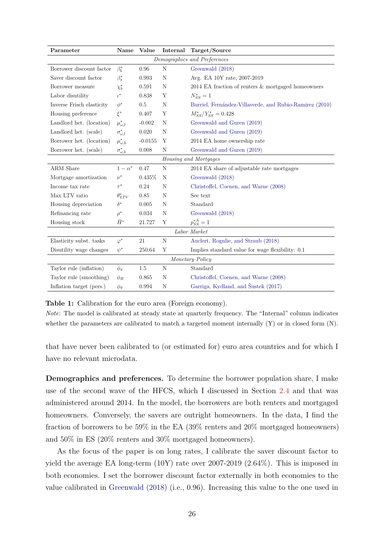<span id="page-25-1"></span><span id="page-25-0"></span>

| Parameter                    | Name                   | Value       | Internal | Target/Source                                           |  |  |
|------------------------------|------------------------|-------------|----------|---------------------------------------------------------|--|--|
| Demographics and Preferences |                        |             |          |                                                         |  |  |
| Borrower discount factor     | $\beta_b^*$            | 0.96        | N        | Greenwald (2018)                                        |  |  |
| Saver discount factor        | $\beta_s^*$            | $\,0.993\,$ | N        | Avg. EA 10Y rate, 2007-2019                             |  |  |
| Borrower measure             | $\chi_b^*$             | 0.591       | N        | 2014 EA fraction of renters & mortgaged homeowners      |  |  |
| Labor disutility             | $\iota^*$              | 0.838       | Υ        | $N_{SS}^* = 1$                                          |  |  |
| Inverse Frisch elasticity    | $\phi^*$               | 0.5         | N        | Burriel, Fernández-Villaverde, and Rubio-Ramirez (2010) |  |  |
| Housing preference           | $\xi^*$                | 0.407       | Υ        | $M_{SS}^*/Y_{SS}^* = 0.428$                             |  |  |
| Landlord het. (location)     | $\mu^*_{\omega, l}$    | $-0.002$    | N        | Greenwald and Guren (2019)                              |  |  |
| Landlord het. (scale)        | $\sigma_{\omega, l}^*$ | 0.020       | N        | Greenwald and Guren (2019)                              |  |  |
| Borrower het. (location)     | $\mu^*_{\omega,b}$     | $-0.0155$   | Y        | 2014 EA home ownership rate                             |  |  |
| Borrower het. (scale)        | $\sigma_{\omega,b}^*$  | 0.008       | N        | Greenwald and Guren (2019)                              |  |  |
| Housing and Mortgages        |                        |             |          |                                                         |  |  |
| ARM Share                    | $1-\alpha^*$           | 0.47        | N        | 2014 EA share of adjustable rate mortgages              |  |  |
| Mortgage amortization        | $\nu^*$                | $0.435\%$   | N        | Greenwald (2018)                                        |  |  |
| Income tax rate              | $\tau^*$               | 0.24        | N        | Christoffel, Coenen, and Warne (2008)                   |  |  |
| Max LTV ratio                | $\theta_{LTV}^*$       | 0.85        | N        | See text                                                |  |  |
| Housing depreciation         | $\delta^*$             | 0.005       | N        | Standard                                                |  |  |
| Refinancing rate             | $\rho^*$               | 0.034       | N        | Greenwald (2018)                                        |  |  |
| Housing stock                | $\bar{H}^*$            | 21.727      | Y        | $p_{SS}^{*,h} = 1$                                      |  |  |
| Labor Market                 |                        |             |          |                                                         |  |  |
| Elasticity subst. tasks      | $\varphi^*$            | 21          | N        | Auclert, Rognlie, and Straub (2018)                     |  |  |
| Disutility wage changes      | $\psi^*$               | 250.64      | Υ        | Implies standard value for wage flexibility: 0.1        |  |  |
| Monetary Policy              |                        |             |          |                                                         |  |  |
| Taylor rule (inflation)      | $\phi_{\pi}$           | 1.5         | N        | Standard                                                |  |  |
| Taylor rule (smoothing)      | $\phi_R$               | 0.865       | N        | Christoffel, Coenen, and Warne (2008)                   |  |  |
| Inflation target (pers.)     | $\phi_{\bar{\pi}}$     | 0.994       | N        | Garriga, Kydland, and Šustek (2017)                     |  |  |

**Table 1:** Calibration for the euro area (Foreign economy).

*Note*: The model is calibrated at steady state at quarterly frequency. The "Internal" column indicates whether the parameters are calibrated to match a targeted moment internally (Y) or in closed form (N).

that have never been calibrated to (or estimated for) euro area countries and for which I have no relevant microdata.

**Demographics and preferences.** To determine the borrower population share, I make use of the second wave of the HFCS, which I discussed in Section [2.4](#page-9-1) and that was administered around 2014. In the model, the borrowers are both renters and mortgaged homeowners. Conversely, the savers are outright homeowners. In the data, I find the fraction of borrowers to be 59% in the EA (39% renters and 20% mortgaged homeowners) and 50% in ES (20% renters and 30% mortgaged homeowners).

As the focus of the paper is on long rates, I calibrate the saver discount factor to yield the average EA long-term (10Y) rate over 2007-2019 (2.64%). This is imposed in both economies. I set the borrower discount factor externally in both economies to the value calibrated in [Greenwald \(2018\)](#page-43-1) (i.e., 0.96). Increasing this value to the one used in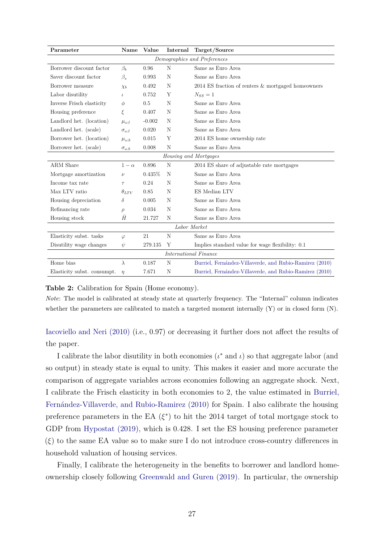<span id="page-26-1"></span><span id="page-26-0"></span>

| Parameter                    | Name                 | Value    | Internal | Target/Source                                           |  |  |
|------------------------------|----------------------|----------|----------|---------------------------------------------------------|--|--|
| Demographics and Preferences |                      |          |          |                                                         |  |  |
| Borrower discount factor     | $\beta_b$            | 0.96     | N        | Same as Euro Area                                       |  |  |
| Saver discount factor        | $\beta_s$            | 0.993    | N        | Same as Euro Area                                       |  |  |
| Borrower measure             | $\chi_b$             | 0.492    | N        | $2014$ ES fraction of renters $\&$ mortgaged homeowners |  |  |
| Labor disutility             | $\iota$              | 0.752    | Y        | $N_{SS}=1$                                              |  |  |
| Inverse Frisch elasticity    | $\phi$               | 0.5      | N        | Same as Euro Area                                       |  |  |
| Housing preference           | ξ                    | 0.407    | N        | Same as Euro Area                                       |  |  |
| Landlord het. (location)     | $\mu_{\omega, l}$    | $-0.002$ | N        | Same as Euro Area                                       |  |  |
| Landlord het. (scale)        | $\sigma_{\omega, l}$ | 0.020    | N        | Same as Euro Area                                       |  |  |
| Borrower het. (location)     | $\mu_{\omega,b}$     | 0.015    | Y        | 2014 ES home ownership rate                             |  |  |
| Borrower het. (scale)        | $\sigma_{\omega,b}$  | 0.008    | N        | Same as Euro Area                                       |  |  |
| Housing and Mortgages        |                      |          |          |                                                         |  |  |
| ARM Share                    | $1-\alpha$           | 0.896    | N        | 2014 ES share of adjustable rate mortgages              |  |  |
| Mortgage amortization        | $\nu$                | 0.435%   | N        | Same as Euro Area                                       |  |  |
| Income tax rate              | $\tau$               | 0.24     | N        | Same as Euro Area                                       |  |  |
| Max LTV ratio                | $\theta_{LTV}$       | 0.85     | N        | ES Median LTV                                           |  |  |
| Housing depreciation         | $\delta$             | 0.005    | N        | Same as Euro Area                                       |  |  |
| Refinancing rate             | $\rho$               | 0.034    | N        | Same as Euro Area                                       |  |  |
| Housing stock                | Ĥ                    | 21.727   | N        | Same as Euro Area                                       |  |  |
| ${\it Labor~Market}$         |                      |          |          |                                                         |  |  |
| Elasticity subst. tasks      | $\varphi$            | 21       | N        | Same as Euro Area                                       |  |  |
| Disutility wage changes      | $\psi$               | 279.135  | Y        | Implies standard value for wage flexibility: 0.1        |  |  |
| <b>International Finance</b> |                      |          |          |                                                         |  |  |
| Home bias                    | $\lambda$            | 0.187    | N        | Burriel, Fernández-Villaverde, and Rubio-Ramirez (2010) |  |  |
| Elasticity subst. consumpt.  | $\eta$               | 7.671    | N        | Burriel, Fernández-Villaverde, and Rubio-Ramirez (2010) |  |  |

#### **Table 2:** Calibration for Spain (Home economy).

*Note*: The model is calibrated at steady state at quarterly frequency. The "Internal" column indicates whether the parameters are calibrated to match a targeted moment internally (Y) or in closed form (N).

[Iacoviello and Neri \(2010\)](#page-43-6) (i.e., 0.97) or decreasing it further does not affect the results of the paper.

I calibrate the labor disutility in both economies  $(\iota^*$  and  $\iota)$  so that aggregate labor (and so output) in steady state is equal to unity. This makes it easier and more accurate the comparison of aggregate variables across economies following an aggregate shock. Next, I calibrate the Frisch elasticity in both economies to 2, the value estimated in [Burriel,](#page-41-11) [Fernández-Villaverde, and Rubio-Ramirez \(2010\)](#page-41-11) for Spain. I also calibrate the housing preference parameters in the EA  $(\xi^*)$  to hit the 2014 target of total mortgage stock to GDP from [Hypostat \(2019\),](#page-43-13) which is 0.428. I set the ES housing preference parameter (*ξ*) to the same EA value so to make sure I do not introduce cross-country differences in household valuation of housing services.

Finally, I calibrate the heterogeneity in the benefits to borrower and landlord homeownership closely following [Greenwald and Guren \(2019\).](#page-43-2) In particular, the ownership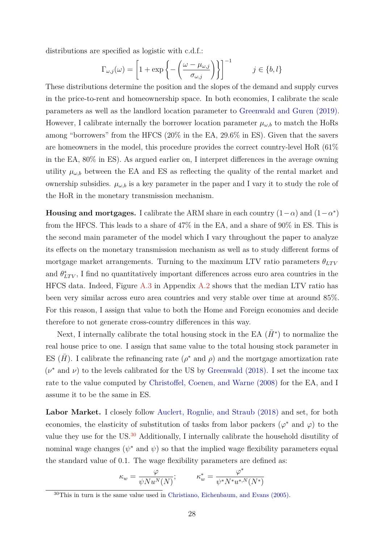<span id="page-27-0"></span>distributions are specified as logistic with c.d.f.:

$$
\Gamma_{\omega,j}(\omega) = \left[1 + \exp\left\{-\left(\frac{\omega - \mu_{\omega,j}}{\sigma_{\omega,j}}\right)\right\}\right]^{-1} \qquad j \in \{b, l\}
$$

These distributions determine the position and the slopes of the demand and supply curves in the price-to-rent and homeownership space. In both economies, I calibrate the scale parameters as well as the landlord location parameter to [Greenwald and Guren \(2019\).](#page-43-2) However, I calibrate internally the borrower location parameter  $\mu_{\omega,b}$  to match the HoRs among "borrowers" from the HFCS (20% in the EA, 29.6% in ES). Given that the savers are homeowners in the model, this procedure provides the correct country-level HoR (61% in the EA, 80% in ES). As argued earlier on, I interpret differences in the average owning utility  $\mu_{\omega,b}$  between the EA and ES as reflecting the quality of the rental market and ownership subsidies.  $\mu_{\omega,b}$  is a key parameter in the paper and I vary it to study the role of the HoR in the monetary transmission mechanism.

**Housing and mortgages.** I calibrate the ARM share in each country  $(1-\alpha)$  and  $(1-\alpha^*)$ from the HFCS. This leads to a share of 47% in the EA, and a share of 90% in ES. This is the second main parameter of the model which I vary throughout the paper to analyze its effects on the monetary transmission mechanism as well as to study different forms of mortgage market arrangements. Turning to the maximum LTV ratio parameters  $\theta_{LTV}$ and  $\theta_{LTV}^*$ , I find no quantitatively important differences across euro area countries in the HFCS data. Indeed, Figure [A.3](#page-47-1) in Appendix [A.2](#page-46-1) shows that the median LTV ratio has been very similar across euro area countries and very stable over time at around 85%. For this reason, I assign that value to both the Home and Foreign economies and decide therefore to not generate cross-country differences in this way.

Next, I internally calibrate the total housing stock in the EA  $(\bar{H}^*)$  to normalize the real house price to one. I assign that same value to the total housing stock parameter in ES  $(\bar{H})$ . I calibrate the refinancing rate  $(\rho^*$  and  $\rho)$  and the mortgage amortization rate  $(\nu^*$  and  $\nu)$  to the levels calibrated for the US by [Greenwald \(2018\).](#page-43-1) I set the income tax rate to the value computed by [Christoffel, Coenen, and Warne \(2008\)](#page-42-12) for the EA, and I assume it to be the same in ES.

Labor Market. I closely follow [Auclert, Rognlie, and Straub \(2018\)](#page-41-9) and set, for both economies, the elasticity of substitution of tasks from labor packers ( $\varphi^*$  and  $\varphi$ ) to the value they use for the US.<sup>[30](#page-0-0)</sup> Additionally, I internally calibrate the household disutility of nominal wage changes  $(\psi^*$  and  $\psi)$  so that the implied wage flexibility parameters equal the standard value of 0.1. The wage flexibility parameters are defined as:

$$
\kappa_w = \frac{\varphi}{\psi N u^N(N)}; \qquad \kappa_w^* = \frac{\varphi^*}{\psi^* N^* u^{*,N}(N^*)}
$$

 $30$ This in turn is the same value used in [Christiano, Eichenbaum, and Evans \(2005\).](#page-41-12)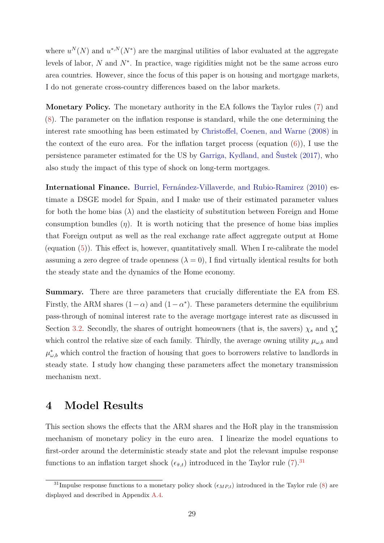<span id="page-28-1"></span>where  $u^N(N)$  and  $u^{*,N}(N^*)$  are the marginal utilities of labor evaluated at the aggregate levels of labor, *N* and *N*<sup>∗</sup> . In practice, wage rigidities might not be the same across euro area countries. However, since the focus of this paper is on housing and mortgage markets, I do not generate cross-country differences based on the labor markets.

**Monetary Policy.** The monetary authority in the EA follows the Taylor rules [\(7\)](#page-21-0) and [\(8\)](#page-21-1). The parameter on the inflation response is standard, while the one determining the interest rate smoothing has been estimated by [Christoffel, Coenen, and Warne \(2008\)](#page-42-12) in the context of the euro area. For the inflation target process (equation  $(6)$ ), I use the persistence parameter estimated for the US by [Garriga, Kydland, and Šustek \(2017\),](#page-43-11) who also study the impact of this type of shock on long-term mortgages.

**International Finance.** [Burriel, Fernández-Villaverde, and Rubio-Ramirez \(2010\)](#page-41-11) estimate a DSGE model for Spain, and I make use of their estimated parameter values for both the home bias  $(\lambda)$  and the elasticity of substitution between Foreign and Home consumption bundles  $(\eta)$ . It is worth noticing that the presence of home bias implies that Foreign output as well as the real exchange rate affect aggregate output at Home (equation [\(5\)](#page-20-0)). This effect is, however, quantitatively small. When I re-calibrate the model assuming a zero degree of trade openness  $(\lambda = 0)$ , I find virtually identical results for both the steady state and the dynamics of the Home economy.

**Summary.** There are three parameters that crucially differentiate the EA from ES. Firstly, the ARM shares  $(1 - \alpha)$  and  $(1 - \alpha^*)$ . These parameters determine the equilibrium pass-through of nominal interest rate to the average mortgage interest rate as discussed in Section [3.2.](#page-22-3) Secondly, the shares of outright homeowners (that is, the savers)  $\chi_s$  and  $\chi_s^*$ which control the relative size of each family. Thirdly, the average owning utility  $\mu_{\omega,b}$  and  $\mu_{\omega,b}^*$  which control the fraction of housing that goes to borrowers relative to landlords in steady state. I study how changing these parameters affect the monetary transmission mechanism next.

### <span id="page-28-0"></span>**4 Model Results**

This section shows the effects that the ARM shares and the HoR play in the transmission mechanism of monetary policy in the euro area. I linearize the model equations to first-order around the deterministic steady state and plot the relevant impulse response functions to an inflation target shock  $(\epsilon_{\bar{\pi},t})$  introduced in the Taylor rule [\(7\)](#page-21-0).<sup>[31](#page-0-0)</sup>

<sup>&</sup>lt;sup>31</sup>Impulse response functions to a monetary policy shock  $(\epsilon_{MP,t})$  introduced in the Taylor rule [\(8\)](#page-21-1) are displayed and described in Appendix [A.4.](#page-51-0)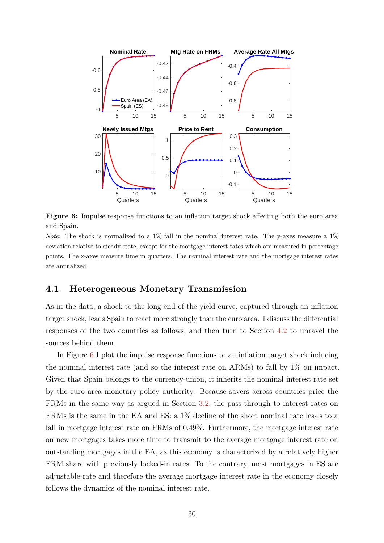<span id="page-29-0"></span>

**Figure 6:** Impulse response functions to an inflation target shock affecting both the euro area and Spain.

*Note*: The shock is normalized to a 1% fall in the nominal interest rate. The y-axes measure a 1% deviation relative to steady state, except for the mortgage interest rates which are measured in percentage points. The x-axes measure time in quarters. The nominal interest rate and the mortgage interest rates are annualized.

### **4.1 Heterogeneous Monetary Transmission**

As in the data, a shock to the long end of the yield curve, captured through an inflation target shock, leads Spain to react more strongly than the euro area. I discuss the differential responses of the two countries as follows, and then turn to Section [4.2](#page-30-0) to unravel the sources behind them.

In Figure [6](#page-29-0) I plot the impulse response functions to an inflation target shock inducing the nominal interest rate (and so the interest rate on ARMs) to fall by 1% on impact. Given that Spain belongs to the currency-union, it inherits the nominal interest rate set by the euro area monetary policy authority. Because savers across countries price the FRMs in the same way as argued in Section [3.2,](#page-22-3) the pass-through to interest rates on FRMs is the same in the EA and ES: a 1% decline of the short nominal rate leads to a fall in mortgage interest rate on FRMs of 0.49%. Furthermore, the mortgage interest rate on new mortgages takes more time to transmit to the average mortgage interest rate on outstanding mortgages in the EA, as this economy is characterized by a relatively higher FRM share with previously locked-in rates. To the contrary, most mortgages in ES are adjustable-rate and therefore the average mortgage interest rate in the economy closely follows the dynamics of the nominal interest rate.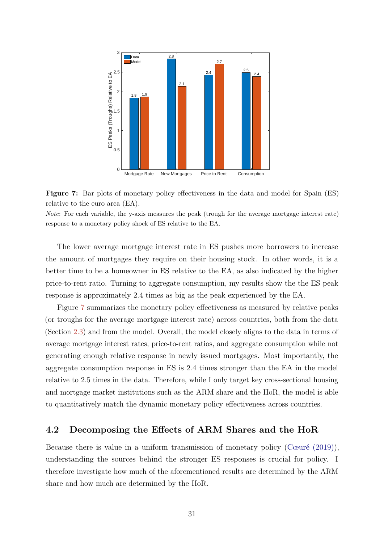<span id="page-30-2"></span><span id="page-30-1"></span>

**Figure 7:** Bar plots of monetary policy effectiveness in the data and model for Spain (ES) relative to the euro area (EA).

*Note*: For each variable, the y-axis measures the peak (trough for the average mortgage interest rate) response to a monetary policy shock of ES relative to the EA.

The lower average mortgage interest rate in ES pushes more borrowers to increase the amount of mortgages they require on their housing stock. In other words, it is a better time to be a homeowner in ES relative to the EA, as also indicated by the higher price-to-rent ratio. Turning to aggregate consumption, my results show the the ES peak response is approximately 2.4 times as big as the peak experienced by the EA.

Figure [7](#page-30-1) summarizes the monetary policy effectiveness as measured by relative peaks (or troughs for the average mortgage interest rate) across countries, both from the data (Section [2.3\)](#page-8-0) and from the model. Overall, the model closely aligns to the data in terms of average mortgage interest rates, price-to-rent ratios, and aggregate consumption while not generating enough relative response in newly issued mortgages. Most importantly, the aggregate consumption response in ES is 2.4 times stronger than the EA in the model relative to 2.5 times in the data. Therefore, while I only target key cross-sectional housing and mortgage market institutions such as the ARM share and the HoR, the model is able to quantitatively match the dynamic monetary policy effectiveness across countries.

### <span id="page-30-0"></span>**4.2 Decomposing the Effects of ARM Shares and the HoR**

Because there is value in a uniform transmission of monetary policy [\(Cœuré \(2019\)\)](#page-42-13), understanding the sources behind the stronger ES responses is crucial for policy. I therefore investigate how much of the aforementioned results are determined by the ARM share and how much are determined by the HoR.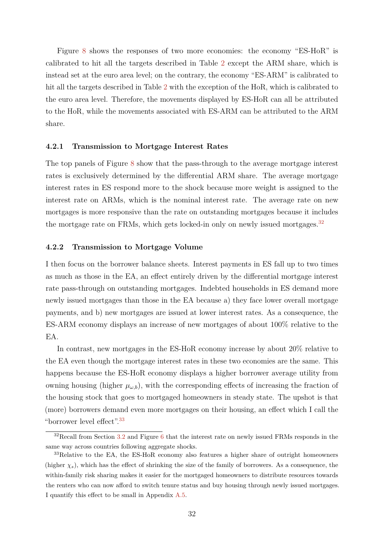Figure [8](#page-32-0) shows the responses of two more economies: the economy "ES-HoR" is calibrated to hit all the targets described in Table [2](#page-26-0) except the ARM share, which is instead set at the euro area level; on the contrary, the economy "ES-ARM" is calibrated to hit all the targets described in Table [2](#page-26-0) with the exception of the HoR, which is calibrated to the euro area level. Therefore, the movements displayed by ES-HoR can all be attributed to the HoR, while the movements associated with ES-ARM can be attributed to the ARM share.

#### **4.2.1 Transmission to Mortgage Interest Rates**

The top panels of Figure [8](#page-32-0) show that the pass-through to the average mortgage interest rates is exclusively determined by the differential ARM share. The average mortgage interest rates in ES respond more to the shock because more weight is assigned to the interest rate on ARMs, which is the nominal interest rate. The average rate on new mortgages is more responsive than the rate on outstanding mortgages because it includes the mortgage rate on FRMs, which gets locked-in only on newly issued mortgages.<sup>[32](#page-0-0)</sup>

#### **4.2.2 Transmission to Mortgage Volume**

I then focus on the borrower balance sheets. Interest payments in ES fall up to two times as much as those in the EA, an effect entirely driven by the differential mortgage interest rate pass-through on outstanding mortgages. Indebted households in ES demand more newly issued mortgages than those in the EA because a) they face lower overall mortgage payments, and b) new mortgages are issued at lower interest rates. As a consequence, the ES-ARM economy displays an increase of new mortgages of about 100% relative to the EA.

In contrast, new mortgages in the ES-HoR economy increase by about 20% relative to the EA even though the mortgage interest rates in these two economies are the same. This happens because the ES-HoR economy displays a higher borrower average utility from owning housing (higher  $\mu_{\omega,b}$ ), with the corresponding effects of increasing the fraction of the housing stock that goes to mortgaged homeowners in steady state. The upshot is that (more) borrowers demand even more mortgages on their housing, an effect which I call the "borrower level effect".[33](#page-0-0)

 $32$ Recall from Section [3.2](#page-22-3) and Figure [6](#page-29-0) that the interest rate on newly issued FRMs responds in the same way across countries following aggregate shocks.

<sup>&</sup>lt;sup>33</sup>Relative to the EA, the ES-HoR economy also features a higher share of outright homeowners (higher  $\chi_s$ ), which has the effect of shrinking the size of the family of borrowers. As a consequence, the within-family risk sharing makes it easier for the mortgaged homeowners to distribute resources towards the renters who can now afford to switch tenure status and buy housing through newly issued mortgages. I quantify this effect to be small in Appendix [A.5.](#page-52-0)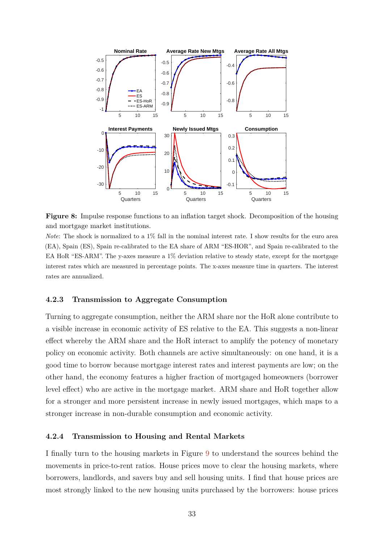<span id="page-32-0"></span>

**Figure 8:** Impulse response functions to an inflation target shock. Decomposition of the housing and mortgage market institutions.

*Note*: The shock is normalized to a 1% fall in the nominal interest rate. I show results for the euro area (EA), Spain (ES), Spain re-calibrated to the EA share of ARM "ES-HOR", and Spain re-calibrated to the EA HoR "ES-ARM". The y-axes measure a 1% deviation relative to steady state, except for the mortgage interest rates which are measured in percentage points. The x-axes measure time in quarters. The interest rates are annualized.

#### **4.2.3 Transmission to Aggregate Consumption**

Turning to aggregate consumption, neither the ARM share nor the HoR alone contribute to a visible increase in economic activity of ES relative to the EA. This suggests a non-linear effect whereby the ARM share and the HoR interact to amplify the potency of monetary policy on economic activity. Both channels are active simultaneously: on one hand, it is a good time to borrow because mortgage interest rates and interest payments are low; on the other hand, the economy features a higher fraction of mortgaged homeowners (borrower level effect) who are active in the mortgage market. ARM share and HoR together allow for a stronger and more persistent increase in newly issued mortgages, which maps to a stronger increase in non-durable consumption and economic activity.

#### **4.2.4 Transmission to Housing and Rental Markets**

I finally turn to the housing markets in Figure [9](#page-33-0) to understand the sources behind the movements in price-to-rent ratios. House prices move to clear the housing markets, where borrowers, landlords, and savers buy and sell housing units. I find that house prices are most strongly linked to the new housing units purchased by the borrowers: house prices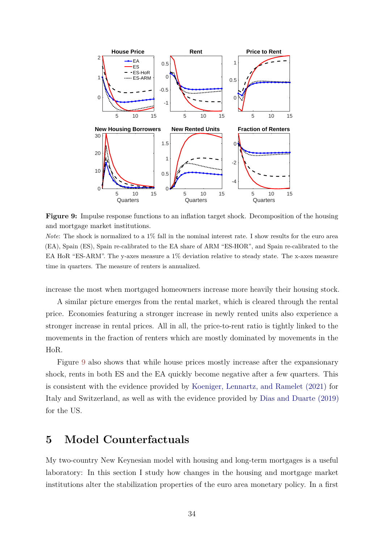<span id="page-33-1"></span><span id="page-33-0"></span>

**Figure 9:** Impulse response functions to an inflation target shock. Decomposition of the housing and mortgage market institutions.

*Note*: The shock is normalized to a 1% fall in the nominal interest rate. I show results for the euro area (EA), Spain (ES), Spain re-calibrated to the EA share of ARM "ES-HOR", and Spain re-calibrated to the EA HoR "ES-ARM". The y-axes measure a 1% deviation relative to steady state. The x-axes measure time in quarters. The measure of renters is annualized.

increase the most when mortgaged homeowners increase more heavily their housing stock.

A similar picture emerges from the rental market, which is cleared through the rental price. Economies featuring a stronger increase in newly rented units also experience a stronger increase in rental prices. All in all, the price-to-rent ratio is tightly linked to the movements in the fraction of renters which are mostly dominated by movements in the HoR.

Figure [9](#page-33-0) also shows that while house prices mostly increase after the expansionary shock, rents in both ES and the EA quickly become negative after a few quarters. This is consistent with the evidence provided by [Koeniger, Lennartz, and Ramelet \(2021\)](#page-43-4) for Italy and Switzerland, as well as with the evidence provided by [Dias and Duarte \(2019\)](#page-42-14) for the US.

# **5 Model Counterfactuals**

My two-country New Keynesian model with housing and long-term mortgages is a useful laboratory: In this section I study how changes in the housing and mortgage market institutions alter the stabilization properties of the euro area monetary policy. In a first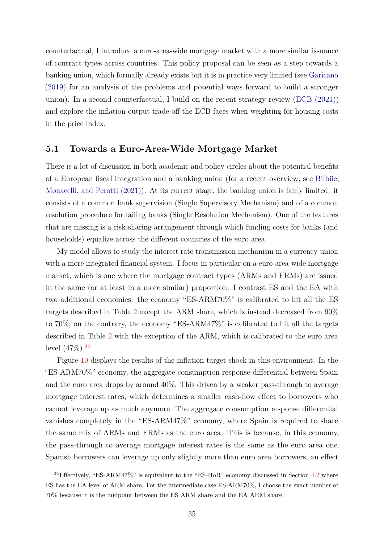<span id="page-34-0"></span>counterfactual, I introduce a euro-area-wide mortgage market with a more similar issuance of contract types across countries. This policy proposal can be seen as a step towards a banking union, which formally already exists but it is in practice very limited (see [Garicano](#page-43-14) [\(2019\)](#page-43-14) for an analysis of the problems and potential ways forward to build a stronger union). In a second counterfactual, I build on the recent strategy review [\(ECB \(2021\)\)](#page-42-2) and explore the inflation-output trade-off the ECB faces when weighting for housing costs in the price index.

#### **5.1 Towards a Euro-Area-Wide Mortgage Market**

There is a lot of discussion in both academic and policy circles about the potential benefits of a European fiscal integration and a banking union (for a recent overview, see [Bilbiie,](#page-41-13) [Monacelli, and Perotti \(2021\)\)](#page-41-13). At its current stage, the banking union is fairly limited: it consists of a common bank supervision (Single Supervisory Mechanism) and of a common resolution procedure for failing banks (Single Resolution Mechanism). One of the features that are missing is a risk-sharing arrangement through which funding costs for banks (and households) equalize across the different countries of the euro area.

My model allows to study the interest rate transmission mechanism in a currency-union with a more integrated financial system. I focus in particular on a euro-area-wide mortgage market, which is one where the mortgage contract types (ARMs and FRMs) are issued in the same (or at least in a more similar) proportion. I contrast ES and the EA with two additional economies: the economy "ES-ARM70%" is calibrated to hit all the ES targets described in Table [2](#page-26-0) except the ARM share, which is instead decreased from 90% to 70%; on the contrary, the economy "ES-ARM47%" is calibrated to hit all the targets described in Table [2](#page-26-0) with the exception of the ARM, which is calibrated to the euro area level  $(47\%)$ .<sup>[34](#page-0-0)</sup>

Figure [10](#page-35-0) displays the results of the inflation target shock in this environment. In the "ES-ARM70%" economy, the aggregate consumption response differential between Spain and the euro area drops by around 40%. This driven by a weaker pass-through to average mortgage interest rates, which determines a smaller cash-flow effect to borrowers who cannot leverage up as much anymore. The aggregate consumption response differential vanishes completely in the "ES-ARM47%" economy, where Spain is required to share the same mix of ARMs and FRMs as the euro area. This is because, in this economy, the pass-through to average mortgage interest rates is the same as the euro area one. Spanish borrowers can leverage up only slightly more than euro area borrowers, an effect

 $34$ Effectively, "ES-ARM47%" is equivalent to the "ES-HoR" economy discussed in Section [4.2](#page-30-0) where ES has the EA level of ARM share. For the intermediate case ES-ARM70%, I choose the exact number of 70% because it is the midpoint between the ES ARM share and the EA ARM share.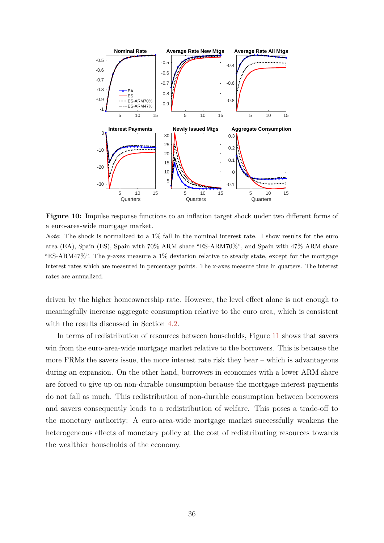<span id="page-35-0"></span>

**Figure 10:** Impulse response functions to an inflation target shock under two different forms of a euro-area-wide mortgage market.

*Note*: The shock is normalized to a 1% fall in the nominal interest rate. I show results for the euro area (EA), Spain (ES), Spain with 70% ARM share "ES-ARM70%", and Spain with 47% ARM share "ES-ARM47%". The y-axes measure a 1% deviation relative to steady state, except for the mortgage interest rates which are measured in percentage points. The x-axes measure time in quarters. The interest rates are annualized.

driven by the higher homeownership rate. However, the level effect alone is not enough to meaningfully increase aggregate consumption relative to the euro area, which is consistent with the results discussed in Section [4.2.](#page-30-0)

In terms of redistribution of resources between households, Figure [11](#page-36-0) shows that savers win from the euro-area-wide mortgage market relative to the borrowers. This is because the more FRMs the savers issue, the more interest rate risk they bear  $-$  which is advantageous during an expansion. On the other hand, borrowers in economies with a lower ARM share are forced to give up on non-durable consumption because the mortgage interest payments do not fall as much. This redistribution of non-durable consumption between borrowers and savers consequently leads to a redistribution of welfare. This poses a trade-off to the monetary authority: A euro-area-wide mortgage market successfully weakens the heterogeneous effects of monetary policy at the cost of redistributing resources towards the wealthier households of the economy.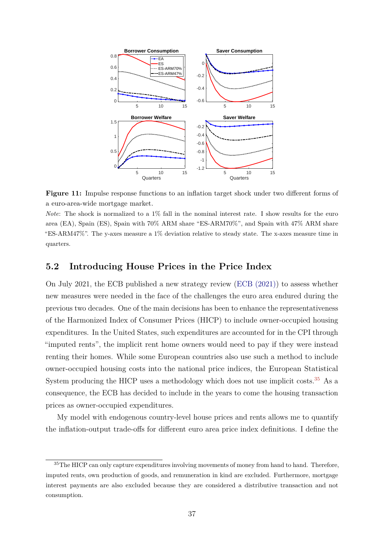<span id="page-36-1"></span><span id="page-36-0"></span>

**Figure 11:** Impulse response functions to an inflation target shock under two different forms of a euro-area-wide mortgage market.

*Note*: The shock is normalized to a 1% fall in the nominal interest rate. I show results for the euro area (EA), Spain (ES), Spain with 70% ARM share "ES-ARM70%", and Spain with 47% ARM share "ES-ARM47%". The y-axes measure a 1% deviation relative to steady state. The x-axes measure time in quarters.

### **5.2 Introducing House Prices in the Price Index**

On July 2021, the ECB published a new strategy review [\(ECB \(2021\)\)](#page-42-2) to assess whether new measures were needed in the face of the challenges the euro area endured during the previous two decades. One of the main decisions has been to enhance the representativeness of the Harmonized Index of Consumer Prices (HICP) to include owner-occupied housing expenditures. In the United States, such expenditures are accounted for in the CPI through "imputed rents", the implicit rent home owners would need to pay if they were instead renting their homes. While some European countries also use such a method to include owner-occupied housing costs into the national price indices, the European Statistical System producing the HICP uses a methodology which does not use implicit costs.<sup>[35](#page-0-0)</sup> As a consequence, the ECB has decided to include in the years to come the housing transaction prices as owner-occupied expenditures.

My model with endogenous country-level house prices and rents allows me to quantify the inflation-output trade-offs for different euro area price index definitions. I define the

<sup>&</sup>lt;sup>35</sup>The HICP can only capture expenditures involving movements of money from hand to hand. Therefore, imputed rents, own production of goods, and remuneration in kind are excluded. Furthermore, mortgage interest payments are also excluded because they are considered a distributive transaction and not consumption.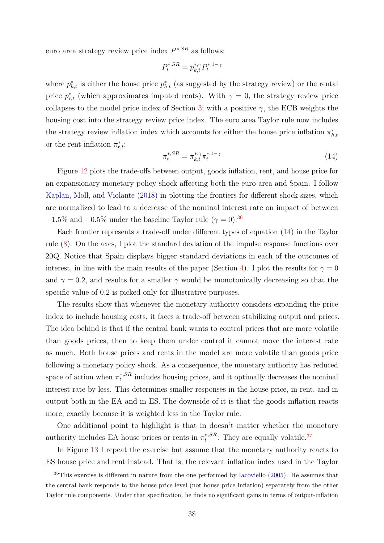<span id="page-37-1"></span>euro area strategy review price index *P* <sup>∗</sup>*,SR* as follows:

$$
P_t^{*,SR} = p_{k,t}^{*,\gamma} P_t^{*,1-\gamma}
$$

where  $p_{k,t}^*$  is either the house price  $p_{h,t}^*$  (as suggested by the strategy review) or the rental price  $p_{r,t}^*$  (which approximates imputed rents). With  $\gamma = 0$ , the strategy review price collapses to the model price index of Section [3;](#page-13-0) with a positive  $\gamma$ , the ECB weights the housing cost into the strategy review price index. The euro area Taylor rule now includes the strategy review inflation index which accounts for either the house price inflation  $\pi^*_{h,t}$ or the rent inflation  $\pi^*_{r,t}$ :

<span id="page-37-0"></span>
$$
\pi_t^{*,SR} = \pi_{k,t}^{*,\gamma} \pi_t^{*,1-\gamma} \tag{14}
$$

Figure [12](#page-38-0) plots the trade-offs between output, goods inflation, rent, and house price for an expansionary monetary policy shock affecting both the euro area and Spain. I follow [Kaplan, Moll, and Violante \(2018\)](#page-43-15) in plotting the frontiers for different shock sizes, which are normalized to lead to a decrease of the nominal interest rate on impact of between  $-1.5\%$  and  $-0.5\%$  under the baseline Taylor rule ( $\gamma = 0$ ).<sup>[36](#page-0-0)</sup>

Each frontier represents a trade-off under different types of equation [\(14\)](#page-37-0) in the Taylor rule [\(8\)](#page-21-1). On the axes, I plot the standard deviation of the impulse response functions over 20Q. Notice that Spain displays bigger standard deviations in each of the outcomes of interest, in line with the main results of the paper (Section [4\)](#page-28-0). I plot the results for  $\gamma = 0$ and  $\gamma = 0.2$ , and results for a smaller  $\gamma$  would be monotonically decreasing so that the specific value of 0.2 is picked only for illustrative purposes.

The results show that whenever the monetary authority considers expanding the price index to include housing costs, it faces a trade-off between stabilizing output and prices. The idea behind is that if the central bank wants to control prices that are more volatile than goods prices, then to keep them under control it cannot move the interest rate as much. Both house prices and rents in the model are more volatile than goods price following a monetary policy shock. As a consequence, the monetary authority has reduced space of action when  $\pi_t^{*,SR}$  $t^{*,SR}$  includes housing prices, and it optimally decreases the nominal interest rate by less. This determines smaller responses in the house price, in rent, and in output both in the EA and in ES. The downside of it is that the goods inflation reacts more, exactly because it is weighted less in the Taylor rule.

One additional point to highlight is that in doesn't matter whether the monetary authority includes EA house prices or rents in  $\pi_t^{*,SR}$  $t^{*,SR}$ : They are equally volatile.<sup>[37](#page-0-0)</sup>

In Figure [13](#page-39-0) I repeat the exercise but assume that the monetary authority reacts to ES house price and rent instead. That is, the relevant inflation index used in the Taylor

 $36$ This exercise is different in nature from the one performed by [Iacoviello \(2005\).](#page-43-5) He assumes that the central bank responds to the house price level (not house price inflation) separately from the other Taylor rule components. Under that specification, he finds no significant gains in terms of output-inflation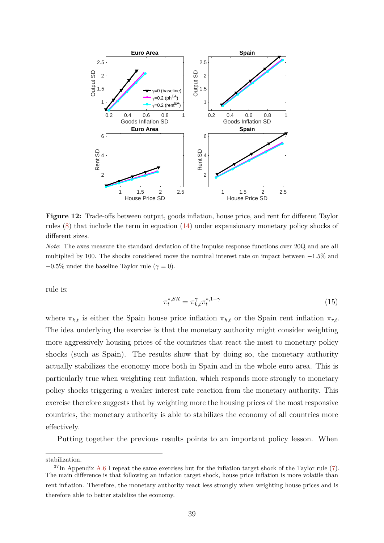<span id="page-38-0"></span>

**Figure 12:** Trade-offs between output, goods inflation, house price, and rent for different Taylor rules [\(8\)](#page-21-1) that include the term in equation [\(14\)](#page-37-0) under expansionary monetary policy shocks of different sizes.

*Note*: The axes measure the standard deviation of the impulse response functions over 20Q and are all multiplied by 100. The shocks considered move the nominal interest rate on impact between −1*.*5% and  $-0.5\%$  under the baseline Taylor rule ( $\gamma = 0$ ).

rule is:

<span id="page-38-1"></span>
$$
\pi_t^{*,SR} = \pi_{k,t}^{\gamma} \pi_t^{*,1-\gamma} \tag{15}
$$

where  $\pi_{k,t}$  is either the Spain house price inflation  $\pi_{h,t}$  or the Spain rent inflation  $\pi_{r,t}$ . The idea underlying the exercise is that the monetary authority might consider weighting more aggressively housing prices of the countries that react the most to monetary policy shocks (such as Spain). The results show that by doing so, the monetary authority actually stabilizes the economy more both in Spain and in the whole euro area. This is particularly true when weighting rent inflation, which responds more strongly to monetary policy shocks triggering a weaker interest rate reaction from the monetary authority. This exercise therefore suggests that by weighting more the housing prices of the most responsive countries, the monetary authority is able to stabilizes the economy of all countries more effectively.

Putting together the previous results points to an important policy lesson. When

stabilization.

 $37\text{In Appendix A.6 I repeat the same exercises but for the inflation target shock of the Taylor rule (7).}$  $37\text{In Appendix A.6 I repeat the same exercises but for the inflation target shock of the Taylor rule (7).}$  $37\text{In Appendix A.6 I repeat the same exercises but for the inflation target shock of the Taylor rule (7).}$  $37\text{In Appendix A.6 I repeat the same exercises but for the inflation target shock of the Taylor rule (7).}$  $37\text{In Appendix A.6 I repeat the same exercises but for the inflation target shock of the Taylor rule (7).}$ The main difference is that following an inflation target shock, house price inflation is more volatile than rent inflation. Therefore, the monetary authority react less strongly when weighting house prices and is therefore able to better stabilize the economy.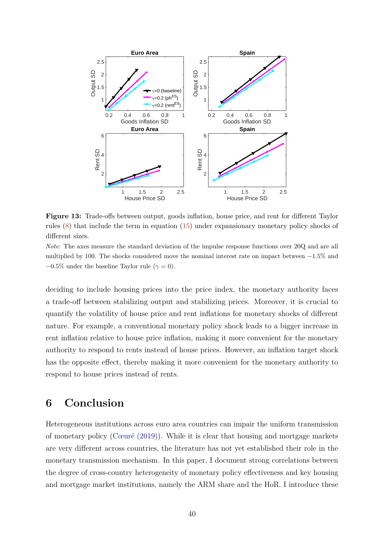<span id="page-39-1"></span><span id="page-39-0"></span>

**Figure 13:** Trade-offs between output, goods inflation, house price, and rent for different Taylor rules [\(8\)](#page-21-1) that include the term in equation [\(15\)](#page-38-1) under expansionary monetary policy shocks of different sizes.

*Note*: The axes measure the standard deviation of the impulse response functions over 20Q and are all multiplied by 100. The shocks considered move the nominal interest rate on impact between −1*.*5% and  $-0.5\%$  under the baseline Taylor rule ( $\gamma = 0$ ).

deciding to include housing prices into the price index, the monetary authority faces a trade-off between stabilizing output and stabilizing prices. Moreover, it is crucial to quantify the volatility of house price and rent inflations for monetary shocks of different nature. For example, a conventional monetary policy shock leads to a bigger increase in rent inflation relative to house price inflation, making it more convenient for the monetary authority to respond to rents instead of house prices. However, an inflation target shock has the opposite effect, thereby making it more convenient for the monetary authority to respond to house prices instead of rents.

# **6 Conclusion**

Heterogeneous institutions across euro area countries can impair the uniform transmission of monetary policy [\(Cœuré \(2019\)\)](#page-42-13). While it is clear that housing and mortgage markets are very different across countries, the literature has not yet established their role in the monetary transmission mechanism. In this paper, I document strong correlations between the degree of cross-country heterogeneity of monetary policy effectiveness and key housing and mortgage market institutions, namely the ARM share and the HoR. I introduce these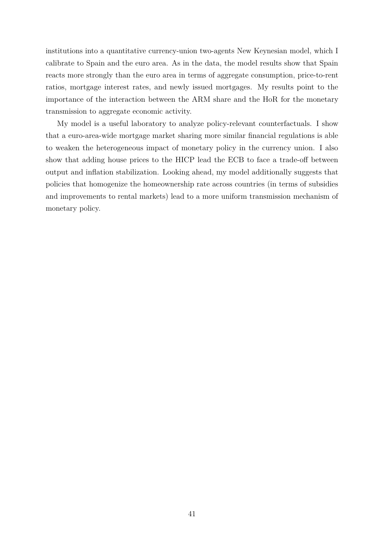institutions into a quantitative currency-union two-agents New Keynesian model, which I calibrate to Spain and the euro area. As in the data, the model results show that Spain reacts more strongly than the euro area in terms of aggregate consumption, price-to-rent ratios, mortgage interest rates, and newly issued mortgages. My results point to the importance of the interaction between the ARM share and the HoR for the monetary transmission to aggregate economic activity.

My model is a useful laboratory to analyze policy-relevant counterfactuals. I show that a euro-area-wide mortgage market sharing more similar financial regulations is able to weaken the heterogeneous impact of monetary policy in the currency union. I also show that adding house prices to the HICP lead the ECB to face a trade-off between output and inflation stabilization. Looking ahead, my model additionally suggests that policies that homogenize the homeownership rate across countries (in terms of subsidies and improvements to rental markets) lead to a more uniform transmission mechanism of monetary policy.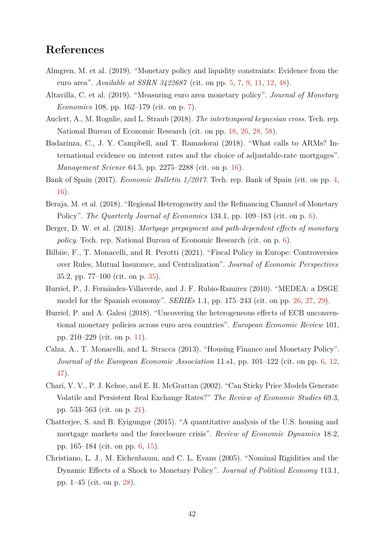# **References**

- <span id="page-41-1"></span>Almgren, M. et al. (2019). "Monetary policy and liquidity constraints: Evidence from the euro area". *Available at SSRN 3422687* (cit. on pp. [5,](#page-4-0) [7,](#page-6-0) [9,](#page-8-1) [11,](#page-10-1) [12,](#page-11-1) [48\)](#page-47-2).
- <span id="page-41-6"></span>Altavilla, C. et al. (2019). "Measuring euro area monetary policy". *Journal of Monetary Economics* 108, pp. 162–179 (cit. on p. [7\)](#page-6-0).
- <span id="page-41-9"></span>Auclert, A., M. Rognlie, and L. Straub (2018). *The intertemporal keynesian cross*. Tech. rep. National Bureau of Economic Research (cit. on pp. [18,](#page-17-0) [26,](#page-25-1) [28,](#page-27-0) [58\)](#page-57-1).
- <span id="page-41-8"></span>Badarinza, C., J. Y. Campbell, and T. Ramadorai (2018). "What calls to ARMs? International evidence on interest rates and the choice of adjustable-rate mortgages". *Management Science* 64.5, pp. 2275–2288 (cit. on p. [16\)](#page-15-0).
- <span id="page-41-0"></span>Bank of Spain (2017). *Economic Bulletin 1/2017*. Tech. rep. Bank of Spain (cit. on pp. [4,](#page-3-0) [16\)](#page-15-0).
- <span id="page-41-4"></span>Beraja, M. et al. (2018). "Regional Heterogeneity and the Refinancing Channel of Monetary Policy". *The Quarterly Journal of Economics* 134.1, pp. 109–183 (cit. on p. [6\)](#page-5-0).
- <span id="page-41-5"></span>Berger, D. W. et al. (2018). *Mortgage prepayment and path-dependent effects of monetary policy*. Tech. rep. National Bureau of Economic Research (cit. on p. [6\)](#page-5-0).
- <span id="page-41-13"></span>Bilbiie, F., T. Monacelli, and R. Perotti (2021). "Fiscal Policy in Europe: Controversies over Rules, Mutual Insurance, and Centralization". *Journal of Economic Perspectives* 35.2, pp. 77–100 (cit. on p. [35\)](#page-34-0).
- <span id="page-41-11"></span>Burriel, P., J. Fernández-Villaverde, and J. F. Rubio-Ramirez (2010). "MEDEA: a DSGE model for the Spanish economy". *SERIEs* 1.1, pp. 175–243 (cit. on pp. [26,](#page-25-1) [27,](#page-26-1) [29\)](#page-28-1).
- <span id="page-41-7"></span>Burriel, P. and A. Galesi (2018). "Uncovering the heterogeneous effects of ECB unconventional monetary policies across euro area countries". *European Economic Review* 101, pp. 210–229 (cit. on p. [11\)](#page-10-1).
- <span id="page-41-2"></span>Calza, A., T. Monacelli, and L. Stracca (2013). "Housing Finance and Monetary Policy". *Journal of the European Economic Association* 11.s1, pp. 101–122 (cit. on pp. [6,](#page-5-0) [12,](#page-11-1) [47\)](#page-46-2).
- <span id="page-41-10"></span>Chari, V. V., P. J. Kehoe, and E. R. McGrattan (2002). "Can Sticky Price Models Generate Volatile and Persistent Real Exchange Rates?" *The Review of Economic Studies* 69.3, pp. 533–563 (cit. on p. [21\)](#page-20-1).
- <span id="page-41-3"></span>Chatterjee, S. and B. Eyigungor (2015). "A quantitative analysis of the U.S. housing and mortgage markets and the foreclosure crisis". *Review of Economic Dynamics* 18.2, pp. 165–184 (cit. on pp. [6,](#page-5-0) [15\)](#page-14-0).
- <span id="page-41-12"></span>Christiano, L. J., M. Eichenbaum, and C. L. Evans (2005). "Nominal Rigidities and the Dynamic Effects of a Shock to Monetary Policy". *Journal of Political Economy* 113.1, pp. 1–45 (cit. on p. [28\)](#page-27-0).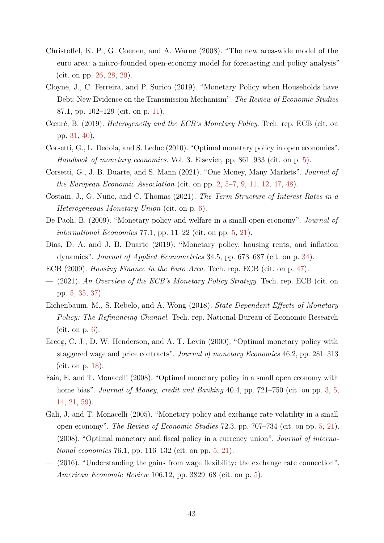- <span id="page-42-12"></span>Christoffel, K. P., G. Coenen, and A. Warne (2008). "The new area-wide model of the euro area: a micro-founded open-economy model for forecasting and policy analysis" (cit. on pp. [26,](#page-25-1) [28,](#page-27-0) [29\)](#page-28-1).
- <span id="page-42-10"></span>Cloyne, J., C. Ferreira, and P. Surico (2019). "Monetary Policy when Households have Debt: New Evidence on the Transmission Mechanism". *The Review of Economic Studies* 87.1, pp. 102–129 (cit. on p. [11\)](#page-10-1).
- <span id="page-42-13"></span>Cœuré, B. (2019). *Heterogeneity and the ECB's Monetary Policy*. Tech. rep. ECB (cit. on pp. [31,](#page-30-2) [40\)](#page-39-1).
- <span id="page-42-6"></span>Corsetti, G., L. Dedola, and S. Leduc (2010). "Optimal monetary policy in open economies". *Handbook of monetary economics*. Vol. 3. Elsevier, pp. 861–933 (cit. on p. [5\)](#page-4-0).
- <span id="page-42-0"></span>Corsetti, G., J. B. Duarte, and S. Mann (2021). "One Money, Many Markets". *Journal of the European Economic Association* (cit. on pp. [2,](#page-1-0) [5–](#page-4-0)[7,](#page-6-0) [9,](#page-8-1) [11,](#page-10-1) [12,](#page-11-1) [47,](#page-46-2) [48\)](#page-47-2).
- <span id="page-42-8"></span>Costain, J., G. Nuño, and C. Thomas (2021). *The Term Structure of Interest Rates in a Heterogeneous Monetary Union* (cit. on p. [6\)](#page-5-0).
- <span id="page-42-5"></span>De Paoli, B. (2009). "Monetary policy and welfare in a small open economy". *Journal of international Economics* 77.1, pp. 11–22 (cit. on pp. [5,](#page-4-0) [21\)](#page-20-1).
- <span id="page-42-14"></span>Dias, D. A. and J. B. Duarte (2019). "Monetary policy, housing rents, and inflation dynamics". *Journal of Applied Econometrics* 34.5, pp. 673–687 (cit. on p. [34\)](#page-33-1).
- <span id="page-42-15"></span>ECB (2009). *Housing Finance in the Euro Area*. Tech. rep. ECB (cit. on p. [47\)](#page-46-2).
- <span id="page-42-2"></span>— (2021). *An Overview of the ECB's Monetary Policy Strategy*. Tech. rep. ECB (cit. on pp. [5,](#page-4-0) [35,](#page-34-0) [37\)](#page-36-1).
- <span id="page-42-9"></span>Eichenbaum, M., S. Rebelo, and A. Wong (2018). *State Dependent Effects of Monetary Policy: The Refinancing Channel*. Tech. rep. National Bureau of Economic Research  $(cit. on p. 6).$  $(cit. on p. 6).$  $(cit. on p. 6).$
- <span id="page-42-11"></span>Erceg, C. J., D. W. Henderson, and A. T. Levin (2000). "Optimal monetary policy with staggered wage and price contracts". *Journal of monetary Economics* 46.2, pp. 281–313 (cit. on p. [18\)](#page-17-0).
- <span id="page-42-1"></span>Faia, E. and T. Monacelli (2008). "Optimal monetary policy in a small open economy with home bias". *Journal of Money, credit and Banking* 40.4, pp. 721–750 (cit. on pp. [3,](#page-2-0) [5,](#page-4-0) [14,](#page-13-2) [21,](#page-20-1) [59\)](#page-58-1).
- <span id="page-42-3"></span>Gali, J. and T. Monacelli (2005). "Monetary policy and exchange rate volatility in a small open economy". *The Review of Economic Studies* 72.3, pp. 707–734 (cit. on pp. [5,](#page-4-0) [21\)](#page-20-1).
- <span id="page-42-4"></span>— (2008). "Optimal monetary and fiscal policy in a currency union". *Journal of international economics* 76.1, pp. 116–132 (cit. on pp. [5,](#page-4-0) [21\)](#page-20-1).
- <span id="page-42-7"></span>— (2016). "Understanding the gains from wage flexibility: the exchange rate connection". *American Economic Review* 106.12, pp. 3829–68 (cit. on p. [5\)](#page-4-0).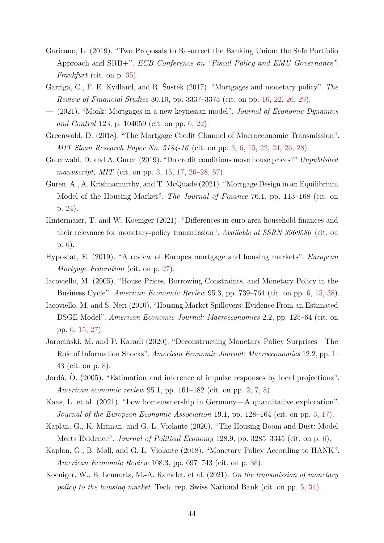- <span id="page-43-14"></span>Garicano, L. (2019). "Two Proposals to Resurrect the Banking Union: the Safe Portfolio Approach and SRB+". *ECB Conference on "Fiscal Policy and EMU Governance", Frankfurt* (cit. on p. [35\)](#page-34-0).
- <span id="page-43-11"></span>Garriga, C., F. E. Kydland, and R. Šustek (2017). "Mortgages and monetary policy". *The Review of Financial Studies* 30.10, pp. 3337–3375 (cit. on pp. [16,](#page-15-0) [22,](#page-21-3) [26,](#page-25-1) [29\)](#page-28-1).
- <span id="page-43-7"></span>— (2021). "Monk: Mortgages in a new-keynesian model". *Journal of Economic Dynamics and Control* 123, p. 104059 (cit. on pp. [6,](#page-5-0) [22\)](#page-21-3).
- <span id="page-43-1"></span>Greenwald, D. (2018). "The Mortgage Credit Channel of Macroeconomic Transmission". *MIT Sloan Research Paper No. 5184-16* (cit. on pp. [3,](#page-2-0) [6,](#page-5-0) [15,](#page-14-0) [22,](#page-21-3) [24,](#page-23-2) [26,](#page-25-1) [28\)](#page-27-0).
- <span id="page-43-2"></span>Greenwald, D. and A. Guren (2019). "Do credit conditions move house prices?" *Unpublished manuscript, MIT* (cit. on pp. [3,](#page-2-0) [15,](#page-14-0) [17,](#page-16-0) [26–](#page-25-1)[28,](#page-27-0) [57\)](#page-56-2).
- <span id="page-43-12"></span>Guren, A., A. Krishnamurthy, and T. McQuade (2021). "Mortgage Design in an Equilibrium Model of the Housing Market". *The Journal of Finance* 76.1, pp. 113–168 (cit. on p. [24\)](#page-23-2).
- <span id="page-43-8"></span>Hintermaier, T. and W. Koeniger (2021). "Differences in euro-area household finances and their relevance for monetary-policy transmission". *Available at SSRN 3969580* (cit. on p. [6\)](#page-5-0).
- <span id="page-43-13"></span>Hypostat, E. (2019). "A review of Europes mortgage and housing markets". *European Mortgage Federation* (cit. on p. [27\)](#page-26-1).
- <span id="page-43-5"></span>Iacoviello, M. (2005). "House Prices, Borrowing Constraints, and Monetary Policy in the Business Cycle". *American Economic Review* 95.3, pp. 739–764 (cit. on pp. [6,](#page-5-0) [15,](#page-14-0) [38\)](#page-37-1).
- <span id="page-43-6"></span>Iacoviello, M. and S. Neri (2010). "Housing Market Spillovers: Evidence From an Estimated DSGE Model". *American Economic Journal: Macroeconomics* 2.2, pp. 125–64 (cit. on pp. [6,](#page-5-0) [15,](#page-14-0) [27\)](#page-26-1).
- <span id="page-43-10"></span>Jarociński, M. and P. Karadi (2020). "Deconstructing Monetary Policy Surprises—The Role of Information Shocks". *American Economic Journal: Macroeconomics* 12.2, pp. 1– 43 (cit. on p. [8\)](#page-7-1).
- <span id="page-43-0"></span>Jordà, Ò. (2005). "Estimation and inference of impulse responses by local projections". *American economic review* 95.1, pp. 161–182 (cit. on pp. [2,](#page-1-0) [7,](#page-6-0) [8\)](#page-7-1).
- <span id="page-43-3"></span>Kaas, L. et al. (2021). "Low homeownership in Germany—A quantitative exploration". *Journal of the European Economic Association* 19.1, pp. 128–164 (cit. on pp. [3,](#page-2-0) [17\)](#page-16-0).
- <span id="page-43-9"></span>Kaplan, G., K. Mitman, and G. L. Violante (2020). "The Housing Boom and Bust: Model Meets Evidence". *Journal of Political Economy* 128.9, pp. 3285–3345 (cit. on p. [6\)](#page-5-0).
- <span id="page-43-15"></span>Kaplan, G., B. Moll, and G. L. Violante (2018). "Monetary Policy According to HANK". *American Economic Review* 108.3, pp. 697–743 (cit. on p. [38\)](#page-37-1).
- <span id="page-43-4"></span>Koeniger, W., B. Lennartz, M.-A. Ramelet, et al. (2021). *On the transmission of monetary policy to the housing market*. Tech. rep. Swiss National Bank (cit. on pp. [5,](#page-4-0) [34\)](#page-33-1).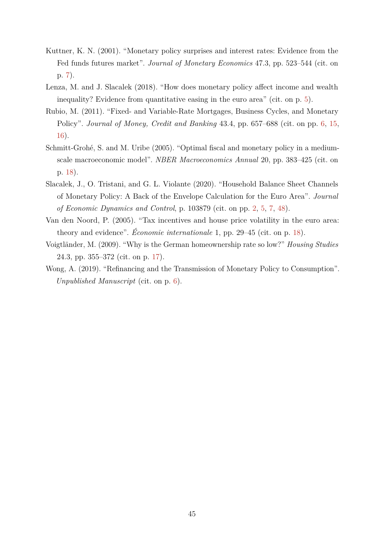- <span id="page-44-4"></span>Kuttner, K. N. (2001). "Monetary policy surprises and interest rates: Evidence from the Fed funds futures market". *Journal of Monetary Economics* 47.3, pp. 523–544 (cit. on p. [7\)](#page-6-0).
- <span id="page-44-1"></span>Lenza, M. and J. Slacalek (2018). "How does monetary policy affect income and wealth inequality? Evidence from quantitative easing in the euro area" (cit. on p. [5\)](#page-4-0).
- <span id="page-44-2"></span>Rubio, M. (2011). "Fixed- and Variable-Rate Mortgages, Business Cycles, and Monetary Policy". *Journal of Money, Credit and Banking* 43.4, pp. 657–688 (cit. on pp. [6,](#page-5-0) [15,](#page-14-0) [16\)](#page-15-0).
- <span id="page-44-7"></span>Schmitt-Grohé, S. and M. Uribe (2005). "Optimal fiscal and monetary policy in a mediumscale macroeconomic model". *NBER Macroeconomics Annual* 20, pp. 383–425 (cit. on p. [18\)](#page-17-0).
- <span id="page-44-0"></span>Slacalek, J., O. Tristani, and G. L. Violante (2020). "Household Balance Sheet Channels of Monetary Policy: A Back of the Envelope Calculation for the Euro Area". *Journal of Economic Dynamics and Control*, p. 103879 (cit. on pp. [2,](#page-1-0) [5,](#page-4-0) [7,](#page-6-0) [48\)](#page-47-2).
- <span id="page-44-6"></span>Van den Noord, P. (2005). "Tax incentives and house price volatility in the euro area: theory and evidence". *Économie internationale* 1, pp. 29–45 (cit. on p. [18\)](#page-17-0).
- <span id="page-44-5"></span>Voigtländer, M. (2009). "Why is the German homeownership rate so low?" *Housing Studies* 24.3, pp. 355–372 (cit. on p. [17\)](#page-16-0).
- <span id="page-44-3"></span>Wong, A. (2019). "Refinancing and the Transmission of Monetary Policy to Consumption". *Unpublished Manuscript* (cit. on p. [6\)](#page-5-0).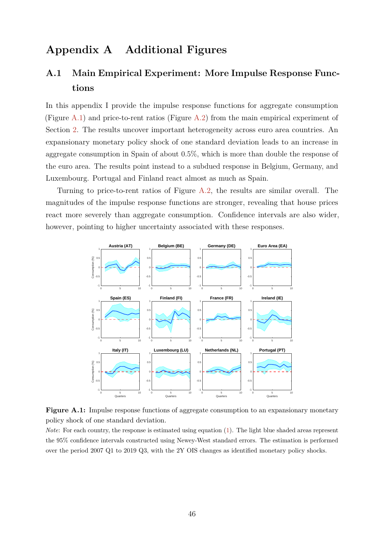# **Appendix A Additional Figures**

# <span id="page-45-0"></span>**A.1 Main Empirical Experiment: More Impulse Response Functions**

In this appendix I provide the impulse response functions for aggregate consumption (Figure [A.1\)](#page-45-1) and price-to-rent ratios (Figure [A.2\)](#page-46-0) from the main empirical experiment of Section [2.](#page-6-1) The results uncover important heterogeneity across euro area countries. An expansionary monetary policy shock of one standard deviation leads to an increase in aggregate consumption in Spain of about 0*.*5%, which is more than double the response of the euro area. The results point instead to a subdued response in Belgium, Germany, and Luxembourg. Portugal and Finland react almost as much as Spain.

Turning to price-to-rent ratios of Figure [A.2,](#page-46-0) the results are similar overall. The magnitudes of the impulse response functions are stronger, revealing that house prices react more severely than aggregate consumption. Confidence intervals are also wider, however, pointing to higher uncertainty associated with these responses.

<span id="page-45-1"></span>

**Figure A.1:** Impulse response functions of aggregate consumption to an expansionary monetary policy shock of one standard deviation.

*Note*: For each country, the response is estimated using equation [\(1\)](#page-7-0). The light blue shaded areas represent the 95% confidence intervals constructed using Newey-West standard errors. The estimation is performed over the period 2007 Q1 to 2019 Q3, with the 2Y OIS changes as identified monetary policy shocks.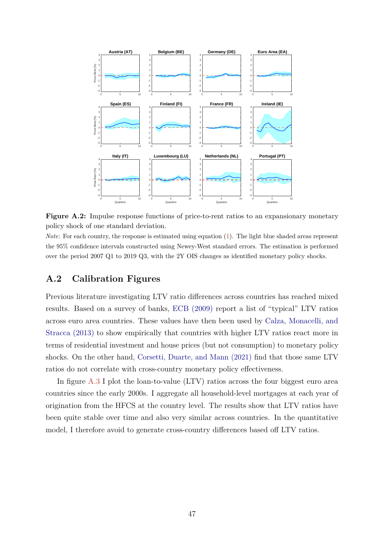<span id="page-46-2"></span><span id="page-46-0"></span>

Figure A.2: Impulse response functions of price-to-rent ratios to an expansionary monetary policy shock of one standard deviation.

*Note*: For each country, the response is estimated using equation [\(1\)](#page-7-0). The light blue shaded areas represent the 95% confidence intervals constructed using Newey-West standard errors. The estimation is performed over the period 2007 Q1 to 2019 Q3, with the 2Y OIS changes as identified monetary policy shocks.

### <span id="page-46-1"></span>**A.2 Calibration Figures**

Previous literature investigating LTV ratio differences across countries has reached mixed results. Based on a survey of banks, [ECB \(2009\)](#page-42-15) report a list of "typical" LTV ratios across euro area countries. These values have then been used by [Calza, Monacelli, and](#page-41-2) [Stracca \(2013\)](#page-41-2) to show empirically that countries with higher LTV ratios react more in terms of residential investment and house prices (but not consumption) to monetary policy shocks. On the other hand, [Corsetti, Duarte, and Mann \(2021\)](#page-42-0) find that those same LTV ratios do not correlate with cross-country monetary policy effectiveness.

In figure [A.3](#page-47-1) I plot the loan-to-value (LTV) ratios across the four biggest euro area countries since the early 2000s. I aggregate all household-level mortgages at each year of origination from the HFCS at the country level. The results show that LTV ratios have been quite stable over time and also very similar across countries. In the quantitative model, I therefore avoid to generate cross-country differences based off LTV ratios.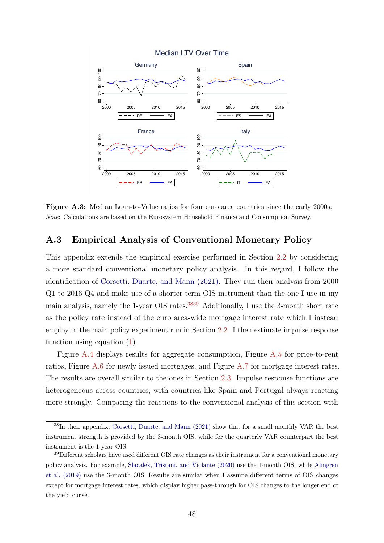<span id="page-47-2"></span><span id="page-47-1"></span>

**Figure A.3:** Median Loan-to-Value ratios for four euro area countries since the early 2000s. *Note*: Calculations are based on the Eurosystem Household Finance and Consumption Survey.

### <span id="page-47-0"></span>**A.3 Empirical Analysis of Conventional Monetary Policy**

This appendix extends the empirical exercise performed in Section [2.2](#page-7-2) by considering a more standard conventional monetary policy analysis. In this regard, I follow the identification of [Corsetti, Duarte, and Mann \(2021\).](#page-42-0) They run their analysis from 2000 Q1 to 2016 Q4 and make use of a shorter term OIS instrument than the one I use in my main analysis, namely the 1-year OIS rates.<sup>[3839](#page-0-0)</sup> Additionally, I use the 3-month short rate as the policy rate instead of the euro area-wide mortgage interest rate which I instead employ in the main policy experiment run in Section [2.2.](#page-7-2) I then estimate impulse response function using equation [\(1\)](#page-7-0).

Figure [A.4](#page-48-0) displays results for aggregate consumption, Figure [A.5](#page-49-0) for price-to-rent ratios, Figure [A.6](#page-49-1) for newly issued mortgages, and Figure [A.7](#page-50-0) for mortgage interest rates. The results are overall similar to the ones in Section [2.3.](#page-8-0) Impulse response functions are heterogeneous across countries, with countries like Spain and Portugal always reacting more strongly. Comparing the reactions to the conventional analysis of this section with

<sup>38</sup>In their appendix, [Corsetti, Duarte, and Mann \(2021\)](#page-42-0) show that for a small monthly VAR the best instrument strength is provided by the 3-month OIS, while for the quarterly VAR counterpart the best instrument is the 1-year OIS.

 $39$ Different scholars have used different OIS rate changes as their instrument for a conventional monetary policy analysis. For example, [Slacalek, Tristani, and Violante \(2020\)](#page-44-0) use the 1-month OIS, while [Almgren](#page-41-1) [et al. \(2019\)](#page-41-1) use the 3-month OIS. Results are similar when I assume different terms of OIS changes except for mortgage interest rates, which display higher pass-through for OIS changes to the longer end of the yield curve.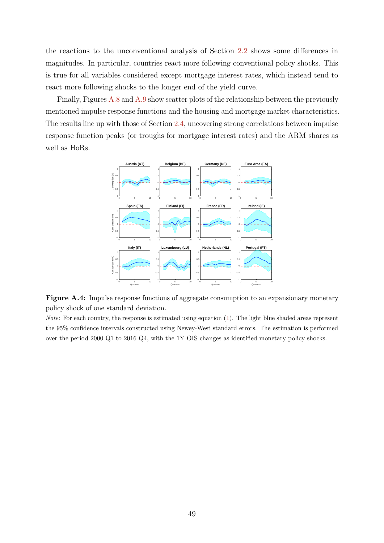the reactions to the unconventional analysis of Section [2.2](#page-7-2) shows some differences in magnitudes. In particular, countries react more following conventional policy shocks. This is true for all variables considered except mortgage interest rates, which instead tend to react more following shocks to the longer end of the yield curve.

Finally, Figures [A.8](#page-50-1) and [A.9](#page-51-1) show scatter plots of the relationship between the previously mentioned impulse response functions and the housing and mortgage market characteristics. The results line up with those of Section [2.4,](#page-9-1) uncovering strong correlations between impulse response function peaks (or troughs for mortgage interest rates) and the ARM shares as well as HoRs.

<span id="page-48-0"></span>

**Figure A.4:** Impulse response functions of aggregate consumption to an expansionary monetary policy shock of one standard deviation.

*Note*: For each country, the response is estimated using equation [\(1\)](#page-7-0). The light blue shaded areas represent the 95% confidence intervals constructed using Newey-West standard errors. The estimation is performed over the period 2000 Q1 to 2016 Q4, with the 1Y OIS changes as identified monetary policy shocks.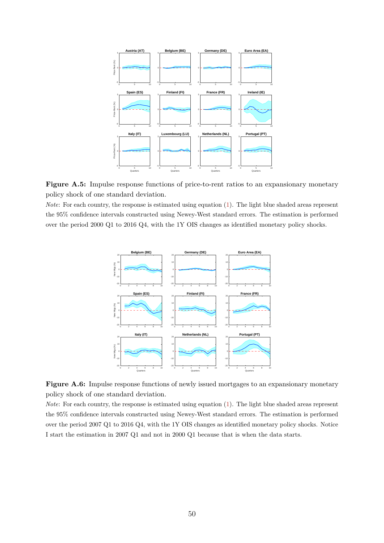<span id="page-49-0"></span>



<span id="page-49-1"></span>*Note*: For each country, the response is estimated using equation [\(1\)](#page-7-0). The light blue shaded areas represent the 95% confidence intervals constructed using Newey-West standard errors. The estimation is performed over the period 2000 Q1 to 2016 Q4, with the 1Y OIS changes as identified monetary policy shocks.



Figure A.6: Impulse response functions of newly issued mortgages to an expansionary monetary policy shock of one standard deviation.

*Note*: For each country, the response is estimated using equation [\(1\)](#page-7-0). The light blue shaded areas represent the 95% confidence intervals constructed using Newey-West standard errors. The estimation is performed over the period 2007 Q1 to 2016 Q4, with the 1Y OIS changes as identified monetary policy shocks. Notice I start the estimation in 2007 Q1 and not in 2000 Q1 because that is when the data starts.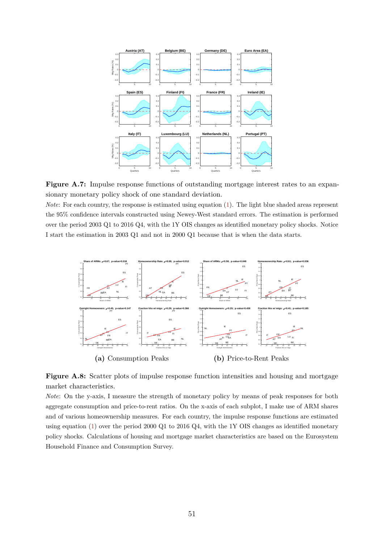<span id="page-50-0"></span>

Figure A.7: Impulse response functions of outstanding mortgage interest rates to an expansionary monetary policy shock of one standard deviation.

*Note*: For each country, the response is estimated using equation [\(1\)](#page-7-0). The light blue shaded areas represent the 95% confidence intervals constructed using Newey-West standard errors. The estimation is performed over the period 2003 Q1 to 2016 Q4, with the 1Y OIS changes as identified monetary policy shocks. Notice I start the estimation in 2003 Q1 and not in 2000 Q1 because that is when the data starts.

<span id="page-50-1"></span>

**Figure A.8:** Scatter plots of impulse response function intensities and housing and mortgage market characteristics.

*Note*: On the y-axis, I measure the strength of monetary policy by means of peak responses for both aggregate consumption and price-to-rent ratios. On the x-axis of each subplot, I make use of ARM shares and of various homeownership measures. For each country, the impulse response functions are estimated using equation [\(1\)](#page-7-0) over the period 2000 Q1 to 2016 Q4, with the 1Y OIS changes as identified monetary policy shocks. Calculations of housing and mortgage market characteristics are based on the Eurosystem Household Finance and Consumption Survey.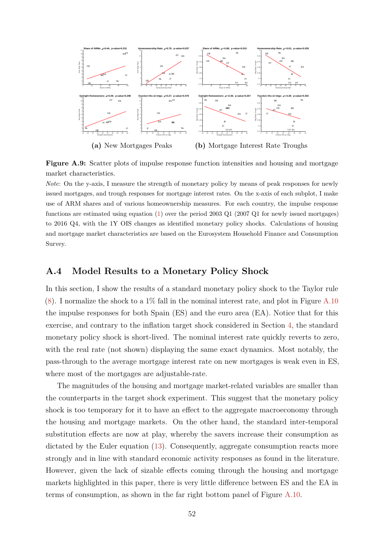<span id="page-51-1"></span>

**Figure A.9:** Scatter plots of impulse response function intensities and housing and mortgage market characteristics.

*Note*: On the y-axis, I measure the strength of monetary policy by means of peak responses for newly issued mortgages, and trough responses for mortgage interest rates. On the x-axis of each subplot, I make use of ARM shares and of various homeownership measures. For each country, the impulse response functions are estimated using equation [\(1\)](#page-7-0) over the period 2003 Q1 (2007 Q1 for newly issued mortgages) to 2016 Q4, with the 1Y OIS changes as identified monetary policy shocks. Calculations of housing and mortgage market characteristics are based on the Eurosystem Household Finance and Consumption Survey.

### <span id="page-51-0"></span>**A.4 Model Results to a Monetary Policy Shock**

In this section, I show the results of a standard monetary policy shock to the Taylor rule  $(8)$ . I normalize the shock to a 1% fall in the nominal interest rate, and plot in Figure [A.10](#page-52-1) the impulse responses for both Spain (ES) and the euro area (EA). Notice that for this exercise, and contrary to the inflation target shock considered in Section [4,](#page-28-0) the standard monetary policy shock is short-lived. The nominal interest rate quickly reverts to zero, with the real rate (not shown) displaying the same exact dynamics. Most notably, the pass-through to the average mortgage interest rate on new mortgages is weak even in ES, where most of the mortgages are adjustable-rate.

The magnitudes of the housing and mortgage market-related variables are smaller than the counterparts in the target shock experiment. This suggest that the monetary policy shock is too temporary for it to have an effect to the aggregate macroeconomy through the housing and mortgage markets. On the other hand, the standard inter-temporal substitution effects are now at play, whereby the savers increase their consumption as dictated by the Euler equation [\(13\)](#page-23-1). Consequently, aggregate consumption reacts more strongly and in line with standard economic activity responses as found in the literature. However, given the lack of sizable effects coming through the housing and mortgage markets highlighted in this paper, there is very little difference between ES and the EA in terms of consumption, as shown in the far right bottom panel of Figure [A.10.](#page-52-1)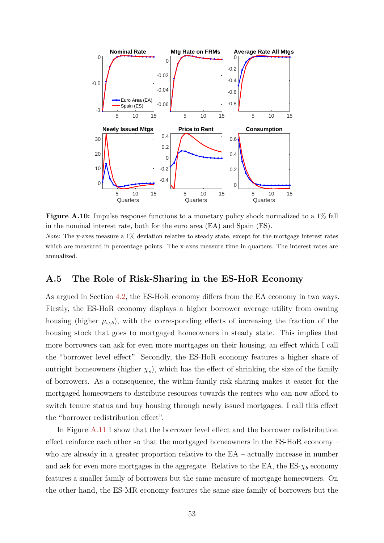<span id="page-52-1"></span>

**Figure A.10:** Impulse response functions to a monetary policy shock normalized to a 1% fall in the nominal interest rate, both for the euro area (EA) and Spain (ES).

*Note*: The y-axes measure a 1% deviation relative to steady state, except for the mortgage interest rates which are measured in percentage points. The x-axes measure time in quarters. The interest rates are annualized.

### <span id="page-52-0"></span>**A.5 The Role of Risk-Sharing in the ES-HoR Economy**

As argued in Section [4.2,](#page-30-0) the ES-HoR economy differs from the EA economy in two ways. Firstly, the ES-HoR economy displays a higher borrower average utility from owning housing (higher  $\mu_{\omega,b}$ ), with the corresponding effects of increasing the fraction of the housing stock that goes to mortgaged homeowners in steady state. This implies that more borrowers can ask for even more mortgages on their housing, an effect which I call the "borrower level effect". Secondly, the ES-HoR economy features a higher share of outright homeowners (higher  $\chi_s$ ), which has the effect of shrinking the size of the family of borrowers. As a consequence, the within-family risk sharing makes it easier for the mortgaged homeowners to distribute resources towards the renters who can now afford to switch tenure status and buy housing through newly issued mortgages. I call this effect the "borrower redistribution effect".

In Figure [A.11](#page-53-1) I show that the borrower level effect and the borrower redistribution effect reinforce each other so that the mortgaged homeowners in the ES-HoR economy – who are already in a greater proportion relative to the  $EA$  – actually increase in number and ask for even more mortgages in the aggregate. Relative to the EA, the ES- $\chi_b$  economy features a smaller family of borrowers but the same measure of mortgage homeowners. On the other hand, the ES-MR economy features the same size family of borrowers but the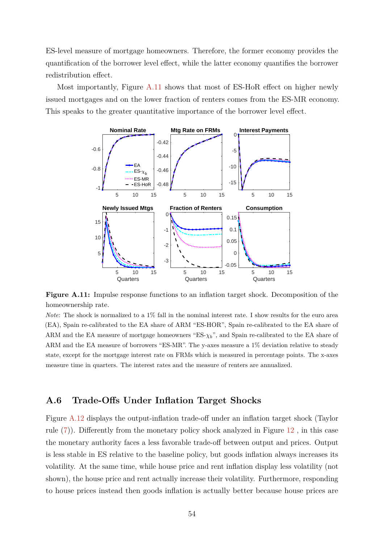ES-level measure of mortgage homeowners. Therefore, the former economy provides the quantification of the borrower level effect, while the latter economy quantifies the borrower redistribution effect.

<span id="page-53-1"></span>Most importantly, Figure [A.11](#page-53-1) shows that most of ES-HoR effect on higher newly issued mortgages and on the lower fraction of renters comes from the ES-MR economy. This speaks to the greater quantitative importance of the borrower level effect.



**Figure A.11:** Impulse response functions to an inflation target shock. Decomposition of the homeownership rate.

*Note*: The shock is normalized to a 1% fall in the nominal interest rate. I show results for the euro area (EA), Spain re-calibrated to the EA share of ARM "ES-HOR", Spain re-calibrated to the EA share of ARM and the EA measure of mortgage homeowners "ES- $\chi_b$ ", and Spain re-calibrated to the EA share of ARM and the EA measure of borrowers "ES-MR". The y-axes measure a 1% deviation relative to steady state, except for the mortgage interest rate on FRMs which is measured in percentage points. The x-axes measure time in quarters. The interest rates and the measure of renters are annualized.

### <span id="page-53-0"></span>**A.6 Trade-Offs Under Inflation Target Shocks**

Figure [A.12](#page-54-0) displays the output-inflation trade-off under an inflation target shock (Taylor rule [\(7\)](#page-21-0)). Differently from the monetary policy shock analyzed in Figure [12](#page-38-0) , in this case the monetary authority faces a less favorable trade-off between output and prices. Output is less stable in ES relative to the baseline policy, but goods inflation always increases its volatility. At the same time, while house price and rent inflation display less volatility (not shown), the house price and rent actually increase their volatility. Furthermore, responding to house prices instead then goods inflation is actually better because house prices are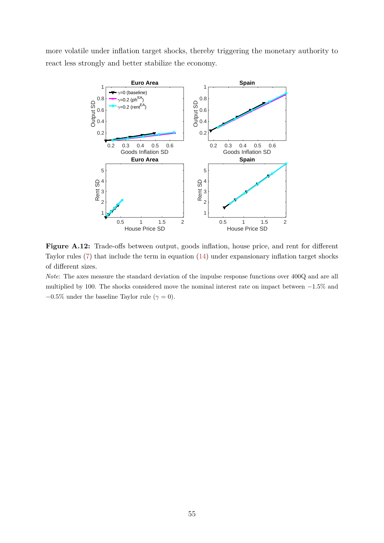<span id="page-54-0"></span>more volatile under inflation target shocks, thereby triggering the monetary authority to react less strongly and better stabilize the economy.



Figure A.12: Trade-offs between output, goods inflation, house price, and rent for different Taylor rules [\(7\)](#page-21-0) that include the term in equation [\(14\)](#page-37-0) under expansionary inflation target shocks of different sizes.

*Note*: The axes measure the standard deviation of the impulse response functions over 400Q and are all multiplied by 100. The shocks considered move the nominal interest rate on impact between −1*.*5% and  $-0.5\%$  under the baseline Taylor rule ( $\gamma = 0$ ).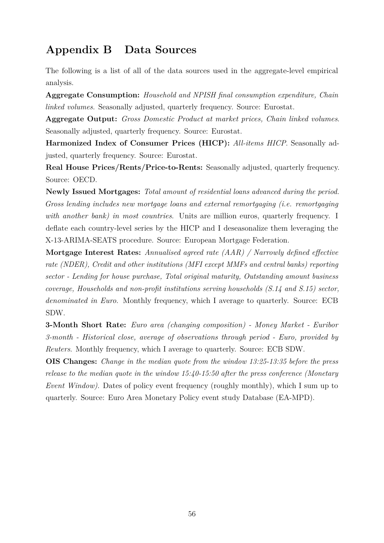# <span id="page-55-0"></span>**Appendix B Data Sources**

The following is a list of all of the data sources used in the aggregate-level empirical analysis.

**Aggregate Consumption:** *Household and NPISH final consumption expenditure, Chain linked volumes*. Seasonally adjusted, quarterly frequency. Source: Eurostat.

**Aggregate Output:** *Gross Domestic Product at market prices, Chain linked volumes*. Seasonally adjusted, quarterly frequency. Source: Eurostat.

**Harmonized Index of Consumer Prices (HICP):** *All-items HICP*. Seasonally adjusted, quarterly frequency. Source: Eurostat.

**Real House Prices/Rents/Price-to-Rents:** Seasonally adjusted, quarterly frequency. Source: OECD.

**Newly Issued Mortgages:** *Total amount of residential loans advanced during the period. Gross lending includes new mortgage loans and external remortgaging (i.e. remortgaging with another bank) in most countries*. Units are million euros, quarterly frequency. I deflate each country-level series by the HICP and I deseasonalize them leveraging the X-13-ARIMA-SEATS procedure. Source: European Mortgage Federation.

**Mortgage Interest Rates:** *Annualised agreed rate (AAR) / Narrowly defined effective rate (NDER), Credit and other institutions (MFI except MMFs and central banks) reporting sector - Lending for house purchase, Total original maturity, Outstanding amount business coverage, Households and non-profit institutions serving households (S.14 and S.15) sector, denominated in Euro*. Monthly frequency, which I average to quarterly. Source: ECB SDW.

**3-Month Short Rate:** *Euro area (changing composition) - Money Market - Euribor 3-month - Historical close, average of observations through period - Euro, provided by Reuters*. Monthly frequency, which I average to quarterly. Source: ECB SDW.

**OIS Changes:** *Change in the median quote from the window 13:25-13:35 before the press release to the median quote in the window 15:40-15:50 after the press conference (Monetary Event Window)*. Dates of policy event frequency (roughly monthly), which I sum up to quarterly. Source: Euro Area Monetary Policy event study Database (EA-MPD).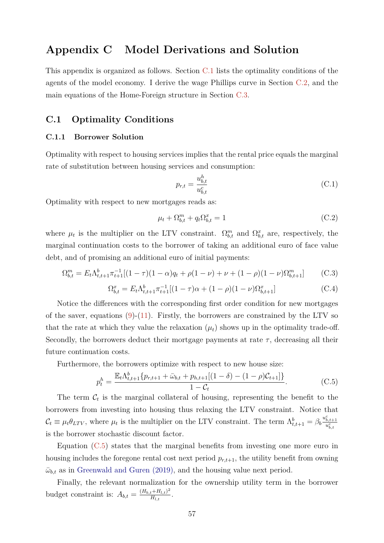# <span id="page-56-2"></span>**Appendix C Model Derivations and Solution**

This appendix is organized as follows. Section [C.1](#page-56-1) lists the optimality conditions of the agents of the model economy. I derive the wage Phillips curve in Section [C.2,](#page-57-0) and the main equations of the Home-Foreign structure in Section [C.3.](#page-58-0)

### <span id="page-56-1"></span>**C.1 Optimality Conditions**

#### <span id="page-56-0"></span>**C.1.1 Borrower Solution**

Optimality with respect to housing services implies that the rental price equals the marginal rate of substitution between housing services and consumption:

$$
p_{r,t} = \frac{u_{b,t}^h}{u_{b,t}^c}
$$
 (C.1)

Optimality with respect to new mortgages reads as:

$$
\mu_t + \Omega_{b,t}^m + q_t \Omega_{b,t}^x = 1 \tag{C.2}
$$

where  $\mu_t$  is the multiplier on the LTV constraint.  $\Omega_{b,t}^m$  and  $\Omega_{b,t}^x$  are, respectively, the marginal continuation costs to the borrower of taking an additional euro of face value debt, and of promising an additional euro of initial payments:

$$
\Omega_{b,t}^m = E_t \Lambda_{t,t+1}^b \pi_{t+1}^{-1} [(1-\tau)(1-\alpha)q_t + \rho(1-\nu) + \nu + (1-\rho)(1-\nu)\Omega_{b,t+1}^m] \tag{C.3}
$$

$$
\Omega_{b,t}^x = E_t \Lambda_{t,t+1}^b \pi_{t+1}^{-1} [(1-\tau)\alpha + (1-\rho)(1-\nu)\Omega_{b,t+1}^x] \tag{C.4}
$$

Notice the differences with the corresponding first order condition for new mortgages of the saver, equations  $(9)-(11)$  $(9)-(11)$  $(9)-(11)$ . Firstly, the borrowers are constrained by the LTV so that the rate at which they value the relaxation  $(\mu_t)$  shows up in the optimality trade-off. Secondly, the borrowers deduct their mortgage payments at rate  $\tau$ , decreasing all their future continuation costs.

Furthermore, the borrowers optimize with respect to new house size:

<span id="page-56-3"></span>
$$
p_t^h = \frac{\mathbb{E}_t \Lambda_{t,t+1}^b \{p_{r,t+1} + \bar{\omega}_{b,t} + p_{h,t+1}[(1-\delta) - (1-\rho)\mathcal{C}_{t+1}]\}}{1-\mathcal{C}_t}.
$$
 (C.5)

The term  $\mathcal{C}_t$  is the marginal collateral of housing, representing the benefit to the borrowers from investing into housing thus relaxing the LTV constraint. Notice that  $\mathcal{C}_t \equiv \mu_t \theta_{LTV}$ , where  $\mu_t$  is the multiplier on the LTV constraint. The term  $\Lambda_{t,t+1}^b = \beta_b \frac{u_{b,t+1}^c}{u_{b,t}^c}$ is the borrower stochastic discount factor.

Equation [\(C.5\)](#page-56-3) states that the marginal benefits from investing one more euro in housing includes the foregone rental cost next period *pr,t*+1, the utility benefit from owning  $\bar{\omega}_{b,t}$  as in [Greenwald and Guren \(2019\),](#page-43-2) and the housing value next period.

Finally, the relevant normalization for the ownership utility term in the borrower budget constraint is:  $A_{b,t} = \frac{(H_{b,t} + H_{l,t})^2}{H_{l,t}}$  $\frac{t+H_{l,t})^+}{H_{l,t}}$ .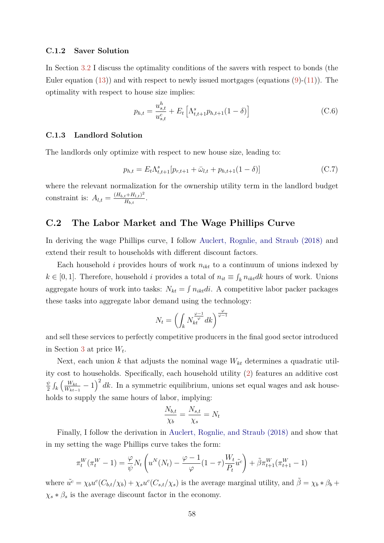#### <span id="page-57-1"></span>**C.1.2 Saver Solution**

In Section [3.2](#page-22-3) I discuss the optimality conditions of the savers with respect to bonds (the Euler equation  $(13)$  and with respect to newly issued mortgages (equations  $(9)-(11)$  $(9)-(11)$  $(9)-(11)$ ). The optimality with respect to house size implies:

$$
p_{h,t} = \frac{u_{s,t}^h}{u_{s,t}^c} + E_t \left[ \Lambda_{t,t+1}^s p_{h,t+1} (1 - \delta) \right]
$$
 (C.6)

#### **C.1.3 Landlord Solution**

The landlords only optimize with respect to new house size, leading to:

$$
p_{h,t} = E_t \Lambda_{t,t+1}^s [p_{r,t+1} + \bar{\omega}_{l,t} + p_{h,t+1} (1 - \delta)] \tag{C.7}
$$

where the relevant normalization for the ownership utility term in the landlord budget constraint is:  $A_{l,t} = \frac{(H_{b,t} + H_{l,t})^2}{H_{b,t}}$  $\frac{t+H_{l,t})^{-}}{H_{b,t}}$ .

### <span id="page-57-0"></span>**C.2 The Labor Market and The Wage Phillips Curve**

In deriving the wage Phillips curve, I follow [Auclert, Rognlie, and Straub \(2018\)](#page-41-9) and extend their result to households with different discount factors.

Each household  $i$  provides hours of work  $n_{ikt}$  to a continuum of unions indexed by *k* ∈ [0, 1]. Therefore, household *i* provides a total of  $n_{it}$  ≡  $\int_k n_{ikt}$ *dk* hours of work. Unions aggregate hours of work into tasks:  $N_{kt} = \int n_{ikt}di$ . A competitive labor packer packages these tasks into aggregate labor demand using the technology:

$$
N_t=\left(\int_kN^{\frac{\varphi-1}{\varphi}}_{kt}dk\right)^{\frac{\varphi}{\varphi-1}}
$$

and sell these services to perfectly competitive producers in the final good sector introduced in Section [3](#page-13-0) at price *W<sup>t</sup>* .

Next, each union *k* that adjusts the nominal wage *Wkt* determines a quadratic utility cost to households. Specifically, each household utility [\(2\)](#page-14-1) features an additive cost *ψ*  $\frac{\psi}{2} \int_{k} \left( \frac{W_{kt}}{W_{kt-}} \right)$  $\frac{W_{kt}}{W_{kt-1}}$  − 1)<sup>2</sup> dk. In a symmetric equilibrium, unions set equal wages and ask households to supply the same hours of labor, implying:

$$
\frac{N_{b,t}}{\chi_b} = \frac{N_{s,t}}{\chi_s} = N_t
$$

Finally, I follow the derivation in [Auclert, Rognlie, and Straub \(2018\)](#page-41-9) and show that in my setting the wage Phillips curve takes the form:

$$
\pi_t^W(\pi_t^W - 1) = \frac{\varphi}{\psi} N_t \left( u^N(N_t) - \frac{\varphi - 1}{\varphi} (1 - \tau) \frac{W_t}{P_t} \tilde{u}^c \right) + \tilde{\beta} \pi_{t+1}^W(\pi_{t+1}^W - 1)
$$

where  $\tilde{u}^c = \chi_b u^c (C_{b,t}/\chi_b) + \chi_s u^c (C_{s,t}/\chi_s)$  is the average marginal utility, and  $\tilde{\beta} = \chi_b * \beta_b + \chi_s u^c C_{b,t}/\chi_b$  $\chi_s * \beta_s$  is the average discount factor in the economy.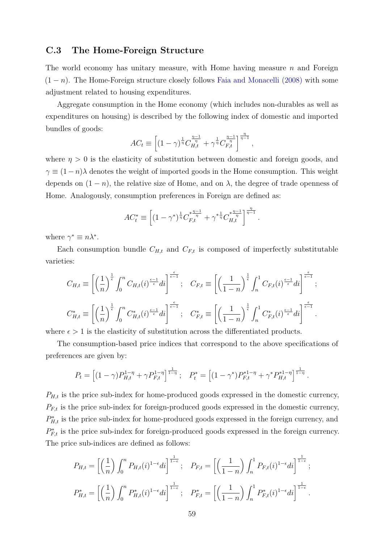### <span id="page-58-1"></span><span id="page-58-0"></span>**C.3 The Home-Foreign Structure**

The world economy has unitary measure, with Home having measure *n* and Foreign  $(1 - n)$ . The Home-Foreign structure closely follows [Faia and Monacelli \(2008\)](#page-42-1) with some adjustment related to housing expenditures.

Aggregate consumption in the Home economy (which includes non-durables as well as expenditures on housing) is described by the following index of domestic and imported bundles of goods:

$$
AC_t \equiv \left[ (1 - \gamma)^{\frac{1}{\eta}} C_{H,t}^{\frac{\eta - 1}{\eta}} + \gamma^{\frac{1}{\eta}} C_{F,t}^{\frac{\eta - 1}{\eta}} \right]^{\frac{\eta}{\eta - 1}},
$$

where  $\eta > 0$  is the elasticity of substitution between domestic and foreign goods, and  $\gamma \equiv (1 - n)\lambda$  denotes the weight of imported goods in the Home consumption. This weight depends on  $(1 - n)$ , the relative size of Home, and on  $\lambda$ , the degree of trade openness of Home. Analogously, consumption preferences in Foreign are defined as:

$$
AC_t^* \equiv \left[ (1 - \gamma^*)^{\frac{1}{\eta}} C_{F,t}^{*\frac{\eta - 1}{\eta}} + \gamma^* {\frac{1}{\eta}} C_{H,t}^{*\frac{\eta - 1}{\eta}} \right]^{\frac{\eta}{\eta - 1}}.
$$

where  $\gamma^* \equiv n\lambda^*$ .

Each consumption bundle  $C_{H,t}$  and  $C_{F,t}$  is composed of imperfectly substitutable varieties:

$$
C_{H,t} \equiv \left[ \left( \frac{1}{n} \right)^{\frac{1}{\epsilon}} \int_0^n C_{H,t}(i)^{\frac{\epsilon-1}{\epsilon}} di \right]^{\frac{\epsilon}{\epsilon-1}}; \quad C_{F,t} \equiv \left[ \left( \frac{1}{1-n} \right)^{\frac{1}{\epsilon}} \int_n^1 C_{F,t}(i)^{\frac{\epsilon-1}{\epsilon}} di \right]^{\frac{\epsilon}{\epsilon-1}};
$$

$$
C_{H,t}^* \equiv \left[ \left( \frac{1}{n} \right)^{\frac{1}{\epsilon}} \int_0^n C_{H,t}^*(i)^{\frac{\epsilon-1}{\epsilon}} di \right]^{\frac{\epsilon}{\epsilon-1}}; \quad C_{F,t}^* \equiv \left[ \left( \frac{1}{1-n} \right)^{\frac{1}{\epsilon}} \int_n^1 C_{F,t}^*(i)^{\frac{\epsilon-1}{\epsilon}} di \right]^{\frac{\epsilon}{\epsilon-1}}.
$$

where  $\epsilon > 1$  is the elasticity of substitution across the differentiated products.

The consumption-based price indices that correspond to the above specifications of preferences are given by:

$$
P_t = \left[ (1-\gamma) P_{H,t}^{1-\eta} + \gamma P_{F,t}^{1-\eta} \right]^{\frac{1}{1-\eta}}; \quad P_t^* = \left[ (1-\gamma^*) P_{F,t}^{*1-\eta} + \gamma^* P_{H,t}^{*1-\eta} \right]^{\frac{1}{1-\eta}}.
$$

 $P_{H,t}$  is the price sub-index for home-produced goods expressed in the domestic currency,  $P_{F,t}$  is the price sub-index for foreign-produced goods expressed in the domestic currency,  $P_{H,t}^*$  is the price sub-index for home-produced goods expressed in the foreign currency, and  $P_{F,t}^*$  is the price sub-index for foreign-produced goods expressed in the foreign currency. The price sub-indices are defined as follows:

$$
P_{H,t} = \left[ \left( \frac{1}{n} \right) \int_0^n P_{H,t}(i)^{1-\epsilon} di \right]^{\frac{1}{1-\epsilon}}; \quad P_{F,t} = \left[ \left( \frac{1}{1-n} \right) \int_n^1 P_{F,t}(i)^{1-\epsilon} di \right]^{\frac{1}{1-\epsilon}};
$$
  

$$
P_{H,t}^* = \left[ \left( \frac{1}{n} \right) \int_0^n P_{H,t}^*(i)^{1-\epsilon} di \right]^{\frac{1}{1-\epsilon}}; \quad P_{F,t}^* = \left[ \left( \frac{1}{1-n} \right) \int_n^1 P_{F,t}^*(i)^{1-\epsilon} di \right]^{\frac{1}{1-\epsilon}}.
$$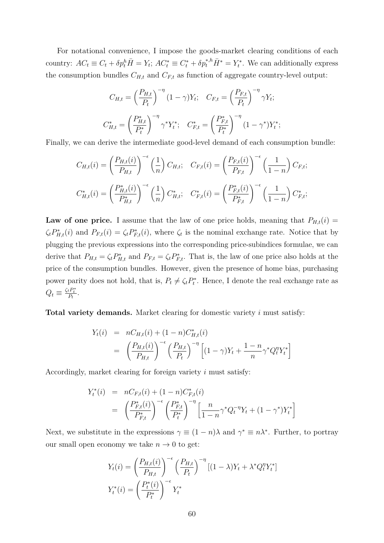For notational convenience, I impose the goods-market clearing conditions of each country:  $AC_t \equiv C_t + \delta p_t^h \overline{H} = Y_t$ ;  $AC_t^* \equiv C_t^* + \delta p_t^{*,h} \overline{H}^* = Y_t^*$ . We can additionally express the consumption bundles  $C_{H,t}$  and  $C_{F,t}$  as function of aggregate country-level output:

$$
C_{H,t} = \left(\frac{P_{H,t}}{P_t}\right)^{-\eta} (1 - \gamma) Y_t; \quad C_{F,t} = \left(\frac{P_{F,t}}{P_t}\right)^{-\eta} \gamma Y_t;
$$

$$
C_{H,t}^* = \left(\frac{P_{H,t}^*}{P_t^*}\right)^{-\eta} \gamma^* Y_t^*; \quad C_{F,t}^* = \left(\frac{P_{F,t}^*}{P_t^*}\right)^{-\eta} (1 - \gamma^*) Y_t^*;
$$

Finally, we can derive the intermediate good-level demand of each consumption bundle:

$$
C_{H,t}(i) = \left(\frac{P_{H,t}(i)}{P_{H,t}}\right)^{-\epsilon} \left(\frac{1}{n}\right) C_{H,t}; \quad C_{F,t}(i) = \left(\frac{P_{F,t}(i)}{P_{F,t}}\right)^{-\epsilon} \left(\frac{1}{1-n}\right) C_{F,t};
$$
  

$$
C_{H,t}^*(i) = \left(\frac{P_{H,t}^*(i)}{P_{H,t}^*}\right)^{-\epsilon} \left(\frac{1}{n}\right) C_{H,t}^*, \quad C_{F,t}^*(i) = \left(\frac{P_{F,t}^*(i)}{P_{F,t}^*}\right)^{-\epsilon} \left(\frac{1}{1-n}\right) C_{F,t}^*,
$$

**Law of one price.** I assume that the law of one price holds, meaning that  $P_{H,t}(i)$  =  $\zeta_t P_{H,t}^*(i)$  and  $P_{F,t}(i) = \zeta_t P_{F,t}^*(i)$ , where  $\zeta_t$  is the nominal exchange rate. Notice that by plugging the previous expressions into the corresponding price-subindices formulae, we can derive that  $P_{H,t} = \zeta_t P_{H,t}^*$  and  $P_{F,t} = \zeta_t P_{F,t}^*$ . That is, the law of one price also holds at the price of the consumption bundles. However, given the presence of home bias, purchasing power parity does not hold, that is,  $P_t \neq \zeta_t P_t^*$ . Hence, I denote the real exchange rate as  $Q_t \equiv \frac{\zeta_t P_t^*}{P_t}.$ 

**Total variety demands.** Market clearing for domestic variety *i* must satisfy:

$$
Y_t(i) = nC_{H,t}(i) + (1 - n)C_{H,t}^*(i)
$$
  
=  $\left(\frac{P_{H,t}(i)}{P_{H,t}}\right)^{-\epsilon} \left(\frac{P_{H,t}}{P_t}\right)^{-\eta} \left[(1 - \gamma)Y_t + \frac{1 - n}{n}\gamma^*Q_t^{\eta}Y_t^*\right]$ 

Accordingly, market clearing for foreign variety *i* must satisfy:

$$
Y_t^*(i) = nC_{F,t}(i) + (1 - n)C_{F,t}^*(i)
$$
  
= 
$$
\left(\frac{P_{F,t}^*(i)}{P_{F,t}^*}\right)^{-\epsilon} \left(\frac{P_{F,t}^*}{P_t^*}\right)^{-\eta} \left[\frac{n}{1 - n} \gamma^* Q_t^{-\eta} Y_t + (1 - \gamma^*) Y_t^*\right]
$$

Next, we substitute in the expressions  $\gamma \equiv (1 - n)\lambda$  and  $\gamma^* \equiv n\lambda^*$ . Further, to portray our small open economy we take  $n \to 0$  to get:

$$
Y_t(i) = \left(\frac{P_{H,t}(i)}{P_{H,t}}\right)^{-\epsilon} \left(\frac{P_{H,t}}{P_t}\right)^{-\eta} [(1-\lambda)Y_t + \lambda^* Q_t^{\eta} Y_t^*]
$$

$$
Y_t^*(i) = \left(\frac{P_t^*(i)}{P_t^*}\right)^{-\epsilon} Y_t^*
$$